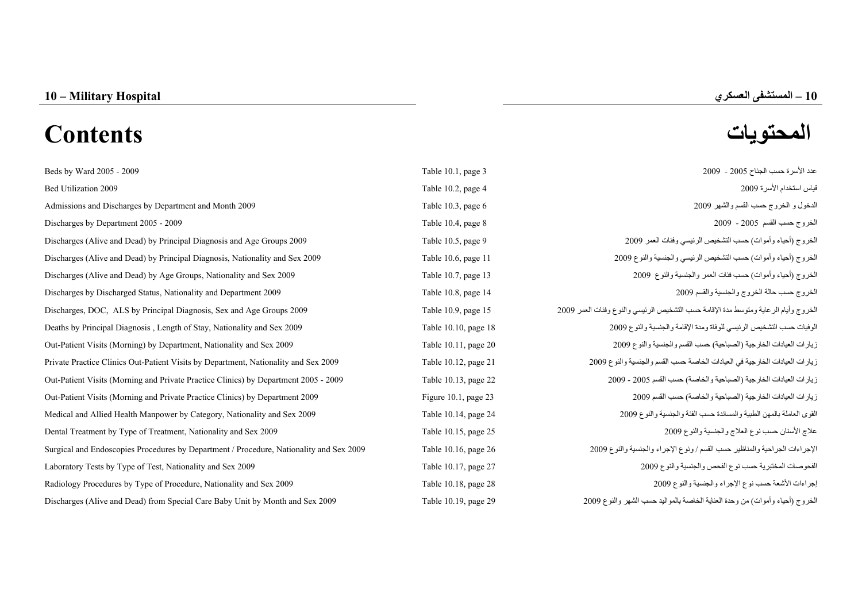# **المحتويات Contents**

Beds by Ward 2005 - 2009  $\frac{2009}{2000}$ [Bed Utilization 2009 Table 10.2, page 4 2009](#page-2-0) الأسرة استخدام قياس [Admissions and Discharges by Department and Month 2009 Table 10.3, page 6 2009](#page-4-0) Table 10.3, page 6 2009 [Discharges by Department 2005 - 2009 Table 10.4, page 8 2009](#page-6-0) Discharges (Alive and Dead) by Principal Diagnosis and Age Groups 2009 Table 10.5, pa Discharges (Alive and Dead) by Principal Diagnosis, Nationality and Sex 2009 Table 10.6, pa [Discharges \(Alive and Dead\) by Age Groups, Nationality and Sex 2009 Table 10.7, page 13 2009](#page-11-0) Discharges by Discharged Status, Nationality and Department 2009 Table 10.8, page 14.6 2009 Discharges, DOC, ALS by Principal Diagnosis, Sex and Age Groups 2009 15 page 10.9, page 10.9, Table 10.9, Table 10.9, Table 10.9, Table 10.9, Table 10.9, Table 10.9, Table 10.9, Table 10.9, Table 10.9, Table 10.9, Table 10 [Deaths by Principal Diagnosis , Length of Stay, Nationality and Sex 2009 Table 10.10, page 18 2009](#page-16-0) [Out-Patient Visits \(Morning\) by Department, Nationality and Sex 2009 Table 10.11, page 20 2009](#page-18-0) والنوع والجنسية القسم حسب) الصباحية (الخارجية العيادات زيارات [Private Practice Clinics Out-Patient Visits by Department, Nationality and Sex 2009 Table 10.12, page 21 2009](#page-19-0) والنوع والجنسية القسم حسب الخاصة العيادات في الخارجية العيادات زيارات [Out-Patient Visits \(Morning and Private Practice Clinics\) by Department 2005 - 2009 Table 10.13, page 22 2009](#page-20-0) - <sup>2005</sup> القسم حسب) والخاصة الصباحية (الخارجية العيادات زيارات [Out-Patient Visits \(Morning and Private Practice Clinics\) by Department 2009 Figure 10.1, page 23 2009](#page-21-0) القسم حسب) والخاصة الصباحية (الخارجية العيادات زيارات Medical and Allied Health Manpower by Category, Nationality and Sex 2009 Table 10.14, p [Dental Treatment by Type of Treatment, Nationality and Sex 2009 Table 10.15, page 25 2009](#page-22-0) Surgical and Endoscopies Procedures by Department / Procedure, Nationality and Sex 2009 Table 10.16, p [Laboratory Tests by Type of Test, Nationality and Sex 2009 Table 10.17, page 27 2009](#page-25-0) [Radiology Procedures by Type of Procedure, Nationality and Sex 2009 Table 10.18, page 28 2009](#page-26-0) [Discharges \(Alive and Dead\) from Special Care Baby Unit by Month and Sex 2009 Table 10.19, page 29 2009](#page-27-0) والنوع الشهر حسب بالمواليد الخاصة العناية وحدة من) وأموات أحياء (الخروج

| ىدد الاسر ة حسب الجناح 2005 - 2009                                                |  |
|-----------------------------------------------------------------------------------|--|
| باس استخدام الأسرة 2009                                                           |  |
| دخول و الخروج حسب القسم والشهر 2009                                               |  |
| خروج حسب القسم 2005 - 2009                                                        |  |
| خروج (أحياء وأموات) حسب التشخيص الرئيسي وفئات العمر 2009                          |  |
| خروج (أحياء وأموات) حسب التشخيص الرئيسي والجنسية والنوع 2009                      |  |
| خروج (أحياء وأموات) حسب فئات العمر والجنسية والنوع 2009                           |  |
| خروج حسب حالة الخروج والجنسية والقسم 2009                                         |  |
| خروج وأيام الرعاية ومتوسط مدة الإقامة حسب التشخيص الرئيسي والنوع وفئات العمر 2009 |  |
| وفيات حسب التشخيص الرئيسي للوفاة ومدة الإقامة والجنسية والنوع 2009                |  |
| يارات العيادات الخارجية (الصباحية) حسب القسم والجنسية والنوع 2009                 |  |
| يارات العيادات الخارجية في العيادات الخاصة حسب القسم والجنسية والنوع 2009         |  |
| يارات العيادات الخارجية (الصباحية والخاصة) حسب القسم 2005 - 2009                  |  |
| يار ات العيادات الخار جية (الصباحية و الخاصة) حسب القسم 2009                      |  |
| قو ي العاملة بالمهن الطبية و المساندة حسب الفئة و الجنسية و النو ع 2009           |  |
| للاج الأسنان حسب نوع العلاج والجنسية والنوع 2009                                  |  |
| {جراءات الجراحية والمناظير حسب القسم / ونوع الإجراء والجنسية والنوع 2009          |  |
| فحوصات المختبرية حسب نوع الفحص والجنسية والنوع 2009                               |  |
| براءات الأشعة حسب نوع الإجراء والجنسية والنوع 2009                                |  |
| خزره ح (أحزاء وأموات) من مجزة العزارة الخاصرة بالموالدد حسن الشعر والذوع 2009     |  |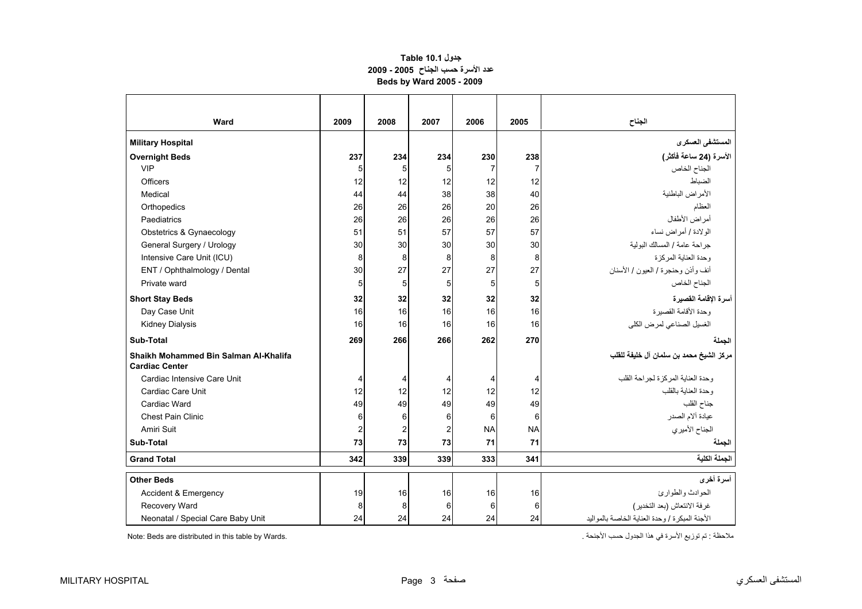## **جدول 10.1 Table عدد الأسرة حسب الجناح 2005 - 2009 Beds by Ward 2005 - 2009**

<span id="page-1-0"></span>

| Ward                                  | 2009                    | 2008           | 2007           | 2006           | 2005           | الجناح                                           |
|---------------------------------------|-------------------------|----------------|----------------|----------------|----------------|--------------------------------------------------|
| <b>Military Hospital</b>              |                         |                |                |                |                | المستشفى العسكرى                                 |
| <b>Overnight Beds</b>                 | 237                     | 234            | 234            | 230            | 238            | الأسرة (24 ساعة فأكثر)                           |
| <b>VIP</b>                            | 5                       | 5              | 5              | $\overline{7}$ | 7              | الجناح الخاص                                     |
| Officers                              | 12                      | 12             | 12             | 12             | 12             | الضباط                                           |
| Medical                               | 44                      | 44             | 38             | 38             | 40             | الأمراض الباطنية                                 |
| Orthopedics                           | 26                      | 26             | 26             | 20             | 26             | العظام                                           |
| Paediatrics                           | 26                      | 26             | 26             | 26             | 26             | أمراض الأطفال                                    |
| Obstetrics & Gynaecology              | 51                      | 51             | 57             | 57             | 57             | الولادة / أمراض نساء                             |
| General Surgery / Urology             | 30                      | 30             | 30             | 30             | 30             | جر احة عامة / المسالك البولية                    |
| Intensive Care Unit (ICU)             | 8                       | 8              | 8              | 8              | 8              | وحدة العناية المركزة                             |
| ENT / Ophthalmology / Dental          | 30                      | 27             | 27             | 27             | 27             | أنف وأذن وحنجرة / العيون / الأسنان               |
| Private ward                          | 5                       | 5 <sup>5</sup> | 5              | 5              | 5 <sub>5</sub> | الجناح الخاص                                     |
| <b>Short Stay Beds</b>                | 32                      | 32             | 32             | 32             | 32             | أسرة الإقامة القصيرة                             |
| Day Case Unit                         | 16                      | 16             | 16             | 16             | 16             | وحدة الأقامة القصير ة                            |
| <b>Kidney Dialysis</b>                | 16                      | 16             | 16             | 16             | 16             | الغسيل الصناعي لمرض الكلى                        |
| Sub-Total                             | 269                     | 266            | 266            | 262            | 270            | الجملة                                           |
| Shaikh Mohammed Bin Salman Al-Khalifa |                         |                |                |                |                | مركز الشيخ محمد بن سلمان آل خليفة للقلب          |
| <b>Cardiac Center</b>                 |                         |                |                |                |                |                                                  |
| Cardiac Intensive Care Unit           | 4                       | $\overline{4}$ | 4              | 4              | 4              | وحدة العنابة المركز ة لجر احة القلب              |
| Cardiac Care Unit                     | 12                      | 12             | 12             | 12             | 12             | وحدة العناية بالقلب                              |
| Cardiac Ward                          | 49                      | 49             | 49             | 49             | 49             | جناح القلب                                       |
| <b>Chest Pain Clinic</b>              | 6                       | 6              | 6              | 6              | 6              | عيادة ألام الصدر                                 |
| Amiri Suit                            | $\overline{\mathbf{c}}$ | $\overline{a}$ | $\overline{2}$ | <b>NA</b>      | <b>NA</b>      | الجناح الأميري                                   |
| Sub-Total                             | 73                      | 73             | 73             | 71             | 71             | الجملة                                           |
| <b>Grand Total</b>                    | 342                     | 339            | 339            | 333            | 341            | الجملة الكلية                                    |
| <b>Other Beds</b>                     |                         |                |                |                |                | أسرة أخرى                                        |
| Accident & Emergency                  | 19                      | 16             | 16             | 16             | 16             | الحو ادث و الطو ار ئ                             |
| Recovery Ward                         | 8                       | 8              | 6              | 6              | 6              | غرفة الانتعاش (بعد التخدير)                      |
| Neonatal / Special Care Baby Unit     | 24                      | 24             | 24             | 24             | 24             | الأجنة المبكر ة / وحدة العناية الخاصة بالمو اليد |

ملاحظة : تم توزيع الأسرة في هذا الجدول حسب الأجنحة . .Wards by table this in distributed are Beds :Note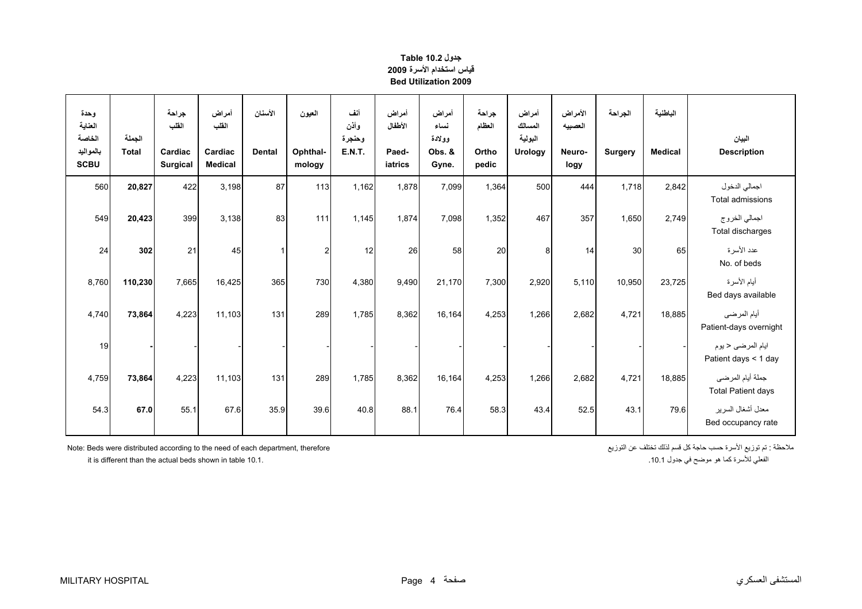# **جدول 10.2 Table قياس استخدام الأسرة <sup>2009</sup> Bed Utilization 2009**

<span id="page-2-0"></span>

| وحدة<br>العناية                    |                        | جراحة<br>القلب      | أمراض<br>الفلب            | الأسنان       | العيون             | أنف<br>وأذن             | أمراض<br>الأطفال | أمراض<br>نساء             | جر احة<br>العظام | أمراض<br>المسالك   | الأمراض<br>العصبيه | الجر احة       | الباطنية       |                                               |
|------------------------------------|------------------------|---------------------|---------------------------|---------------|--------------------|-------------------------|------------------|---------------------------|------------------|--------------------|--------------------|----------------|----------------|-----------------------------------------------|
| الخاصة<br>بالمواليد<br><b>SCBU</b> | الجملة<br><b>Total</b> | Cardiac<br>Surgical | Cardiac<br><b>Medical</b> | <b>Dental</b> | Ophthal-<br>mology | وحنجرة<br><b>E.N.T.</b> | Paed-<br>iatrics | وولادة<br>Obs. &<br>Gyne. | Ortho<br>pedic   | البولية<br>Urology | Neuro-<br>logy     | <b>Surgery</b> | <b>Medical</b> | البيان<br><b>Description</b>                  |
| 560                                | 20,827                 | 422                 | 3,198                     | 87            | 113                | 1,162                   | 1,878            | 7,099                     | 1,364            | 500                | 444                | 1,718          | 2,842          | اجمالي الدخول<br>Total admissions             |
| 549                                | 20,423                 | 399                 | 3,138                     | 83            | 111                | 1,145                   | 1,874            | 7,098                     | 1,352            | 467                | 357                | 1,650          | 2,749          | اجمالي الخروج<br>Total discharges             |
| 24                                 | 302                    | 21                  | 45                        |               | $\overline{2}$     | 12                      | 26               | 58                        | 20               | 8                  | 14                 | 30             | 65             | عدد الأسرة<br>No. of beds                     |
| 8,760                              | 110,230                | 7,665               | 16,425                    | 365           | 730                | 4,380                   | 9,490            | 21,170                    | 7,300            | 2,920              | 5,110              | 10,950         | 23,725         | أيام الأسرة<br>Bed days available             |
| 4,740                              | 73,864                 | 4,223               | 11.103                    | 131           | 289                | 1.785                   | 8,362            | 16,164                    | 4,253            | 1,266              | 2,682              | 4,721          | 18,885         | أيام المرضى<br>Patient-days overnight         |
| 19                                 |                        |                     |                           |               |                    |                         |                  |                           |                  |                    |                    |                |                | ايام المرضى ح يوم<br>Patient days < 1 day     |
| 4,759                              | 73,864                 | 4,223               | 11,103                    | 131           | 289                | 1,785                   | 8,362            | 16,164                    | 4,253            | 1,266              | 2,682              | 4,721          | 18,885         | جملة أيام المرضى<br><b>Total Patient days</b> |
| 54.3                               | 67.0                   | 55.1                | 67.6                      | 35.9          | 39.6               | 40.8                    | 88.1             | 76.4                      | 58.3             | 43.4               | 52.5               | 43.1           | 79.6           | معدل أشغال السرير<br>Bed occupancy rate       |

ملاحظة : تم توزيع الأسرة حسب حاجة كل قسم لذلك تختلف عن التوزيع المنافسم لذلك تختلف عن التوزيع عن التوزيع المنافسم لذلك تختلف عن التوزيع المنافس لتوزيع الأسرة حسب حاجة كل قسم لذلك تختلف عن التوزيع

it is different than the actual beds shown in table 10.1.

 .10.1الفعلي للأسرة كما هو موضح في جدول 10.1.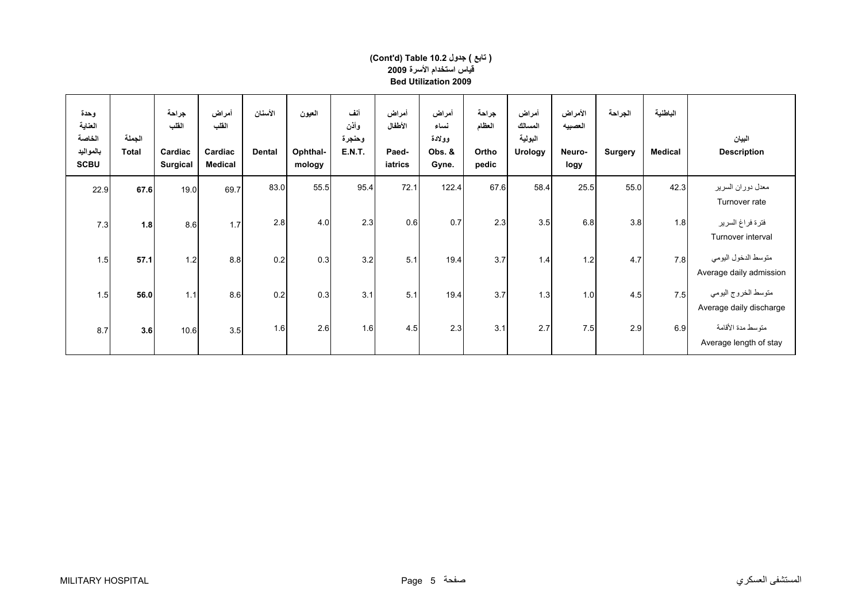| وحدة<br>العناية<br>الخاصة<br>بالمواليد<br><b>SCBU</b> | الجملة<br><b>Total</b> | جراحة<br>الفلب<br>Cardiac<br><b>Surgical</b> | أمراض<br>القلب<br>Cardiac<br><b>Medical</b> | الأسنان<br><b>Dental</b> | العيون<br>Ophthal-<br>mology | أنف<br>وأذن<br>وحنجرة<br><b>E.N.T.</b> | أمراض<br>الأطفال<br>Paed-<br>iatrics | أمراض<br>نساء<br>وولادة<br>Obs. &<br>Gyne. | جراحة<br>العظام<br>Ortho<br>pedic | أمراض<br>المسالك<br>البولية<br><b>Urology</b> | الأمراض<br>العصبيه<br>Neuro-<br>logy | الجراحة<br><b>Surgery</b> | الباطنية<br><b>Medical</b> | البيان<br><b>Description</b>                   |
|-------------------------------------------------------|------------------------|----------------------------------------------|---------------------------------------------|--------------------------|------------------------------|----------------------------------------|--------------------------------------|--------------------------------------------|-----------------------------------|-----------------------------------------------|--------------------------------------|---------------------------|----------------------------|------------------------------------------------|
| 22.9                                                  | 67.6                   | 19.0                                         | 69.7                                        | 83.0                     | 55.5                         | 95.4                                   | 72.1                                 | 122.4                                      | 67.6                              | 58.4                                          | 25.5                                 | 55.0                      | 42.3                       | معدل دوران السرير<br>Turnover rate             |
| 7.3                                                   | 1.8                    | 8.6                                          | 1.7                                         | 2.8                      | 4.0                          | 2.3                                    | 0.6                                  | 0.7                                        | 2.3                               | 3.5                                           | 6.8                                  | 3.8                       | 1.8                        | فترة فراغ السرير<br>Turnover interval          |
| 1.5                                                   | 57.1                   | 1.2                                          | 8.8                                         | 0.2                      | 0.3                          | 3.2                                    | 5.1                                  | 19.4                                       | 3.7                               | 1.4                                           | $1.2$                                | 4.7                       | 7.8                        | متوسط الدخول اليومي<br>Average daily admission |
| 1.5                                                   | 56.0                   | 1.1                                          | 8.6                                         | 0.2                      | 0.3                          | 3.1                                    | 5.1                                  | 19.4                                       | 3.7                               | 1.3                                           | 1.0                                  | 45                        | 7.5                        | متوسط الخروج اليومي<br>Average daily discharge |
| 8.7                                                   | 3.6                    | 10.6                                         | 3.5                                         | 1.6                      | 2.6                          | 1.6                                    | 4.5                                  | 2.3                                        | 3.1                               | 2.7                                           | 7.5                                  | 2.9                       | 6.9                        | متوسط مدة الأقامة<br>Average length of stay    |

#### **قياس استخدام الأسرة <sup>2009</sup> Bed Utilization 2009(Cont'd) Table 10.2 جدول ) تابع(**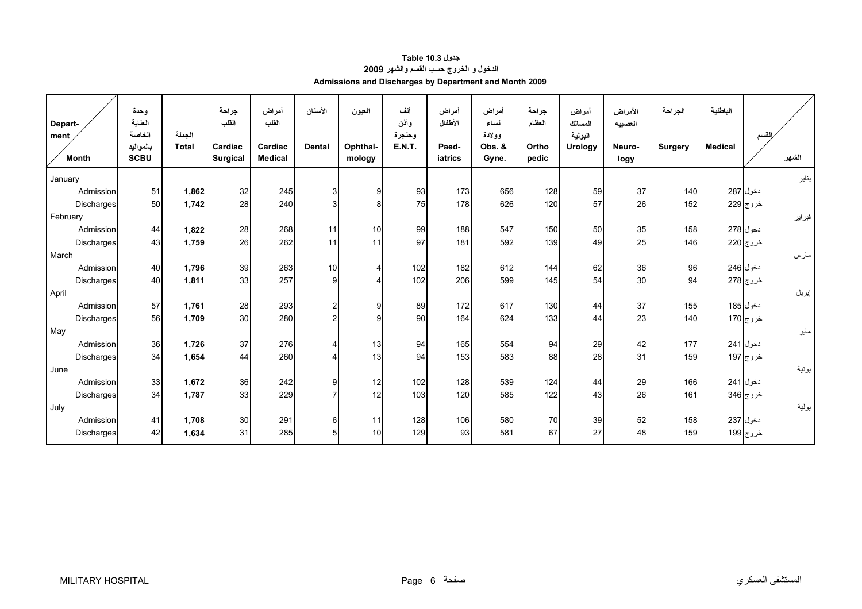| جدول Table 10.3                                        |
|--------------------------------------------------------|
| الدخول و الخروج حسب القسم والشهر 2009                  |
| Admissions and Discharges by Department and Month 2009 |

<span id="page-4-0"></span>

| Depart-              | وحدة<br>العناية                    |                        | جراحة<br>القلب             | أمراض<br>القلب            | الأسنان        | العيون             | أنف<br>وأذن             | أمراض<br>الأطفال | أمراض<br>نساء             | جراحة<br>العظام | أمراض<br>المسالك          | الأمراض<br>العصبيه | الجراحة        | الباطنية       |                |
|----------------------|------------------------------------|------------------------|----------------------------|---------------------------|----------------|--------------------|-------------------------|------------------|---------------------------|-----------------|---------------------------|--------------------|----------------|----------------|----------------|
| ment<br><b>Month</b> | الخاصة<br>بالمواليد<br><b>SCBU</b> | الجملة<br><b>Total</b> | Cardiac<br><b>Surgical</b> | Cardiac<br><b>Medical</b> | <b>Dental</b>  | Ophthal-<br>mology | وحنجرة<br><b>E.N.T.</b> | Paed-<br>iatrics | وولادة<br>Obs. &<br>Gyne. | Ortho<br>pedic  | البولية<br><b>Urology</b> | Neuro-<br>logy     | <b>Surgery</b> | <b>Medical</b> | القسم<br>الشهر |
| January              |                                    |                        |                            |                           |                |                    |                         |                  |                           |                 |                           |                    |                |                | يناير          |
| Admission            | 51                                 | 1,862                  | 32                         | 245                       | 3              | 9                  | 93                      | 173              | 656                       | 128             | 59                        | 37                 | 140            |                | دخول 287       |
| Discharges           | 50                                 | 1,742                  | 28                         | 240                       | 3              | 8 <sup>1</sup>     | 75                      | 178              | 626                       | 120             | 57                        | 26                 | 152            |                | خروج 229       |
| February             |                                    |                        |                            |                           |                |                    |                         |                  |                           |                 |                           |                    |                |                | فبراير         |
| Admission            | 44                                 | 1,822                  | 28                         | 268                       | 11             | 10                 | 99                      | 188              | 547                       | 150             | 50                        | 35                 | 158            |                | دخول 278       |
| Discharges           | 43                                 | 1,759                  | 26                         | 262                       | 11             | 11                 | 97                      | 181              | 592                       | 139             | 49                        | 25                 | 146            |                | خروج 220       |
| March                |                                    |                        |                            |                           |                |                    |                         |                  |                           |                 |                           |                    |                |                | مارس           |
| Admission            | 40                                 | 1,796                  | 39                         | 263                       | 10             | $\overline{4}$     | 102                     | 182              | 612                       | 144             | 62                        | 36                 | 96             |                | دخول 246       |
| Discharges           | 40                                 | 1,811                  | 33                         | 257                       | 9              | 4                  | 102                     | 206              | 599                       | 145             | 54                        | 30                 | 94             |                | خروج 278       |
| April                |                                    |                        |                            |                           |                |                    |                         |                  |                           |                 |                           |                    |                |                | إبريل          |
| Admission            | 57                                 | 1,761                  | 28                         | 293                       | $\overline{c}$ | 9 <sub>l</sub>     | 89                      | 172              | 617                       | 130             | 44                        | 37                 | 155            |                | دخول 185       |
| <b>Discharges</b>    | 56                                 | 1,709                  | 30                         | 280                       | $\overline{2}$ | 9 <sub>l</sub>     | 90                      | 164              | 624                       | 133             | 44                        | 23                 | 140            |                | خروج 170       |
| May                  |                                    |                        |                            |                           |                |                    |                         |                  |                           |                 |                           |                    |                |                | مايو           |
| Admission            | 36                                 | 1,726                  | 37                         | 276                       | $\overline{4}$ | 13                 | 94                      | 165              | 554                       | 94              | 29                        | 42                 | 177            |                | دخول 241       |
| Discharges           | 34                                 | 1,654                  | 44                         | 260                       | 4              | 13                 | 94                      | 153              | 583                       | 88              | 28                        | 31                 | 159            |                | خروج 197       |
| June                 |                                    |                        |                            |                           |                |                    |                         |                  |                           |                 |                           |                    |                |                | يونية          |
| Admission            | 33                                 | 1,672                  | 36                         | 242                       | 9              | 12                 | 102                     | 128              | 539                       | 124             | 44                        | 29                 | 166            |                | دخول 241       |
| Discharges           | 34                                 | 1,787                  | 33                         | 229                       | $\overline{7}$ | 12                 | 103                     | 120              | 585                       | 122             | 43                        | 26                 | 161            |                | خروج 346       |
| July                 |                                    |                        |                            |                           |                |                    |                         |                  |                           |                 |                           |                    |                |                | يولية          |
| Admission            | 41                                 | 1,708                  | 30                         | 291                       | 6              | 11                 | 128                     | 106              | 580                       | 70              | 39                        | 52                 | 158            |                | دخول 237       |
| Discharges           | 42                                 | 1,634                  | 31                         | 285                       | 5              | 10                 | 129                     | 93               | 581                       | 67              | 27                        | 48                 | 159            |                | خروج 199       |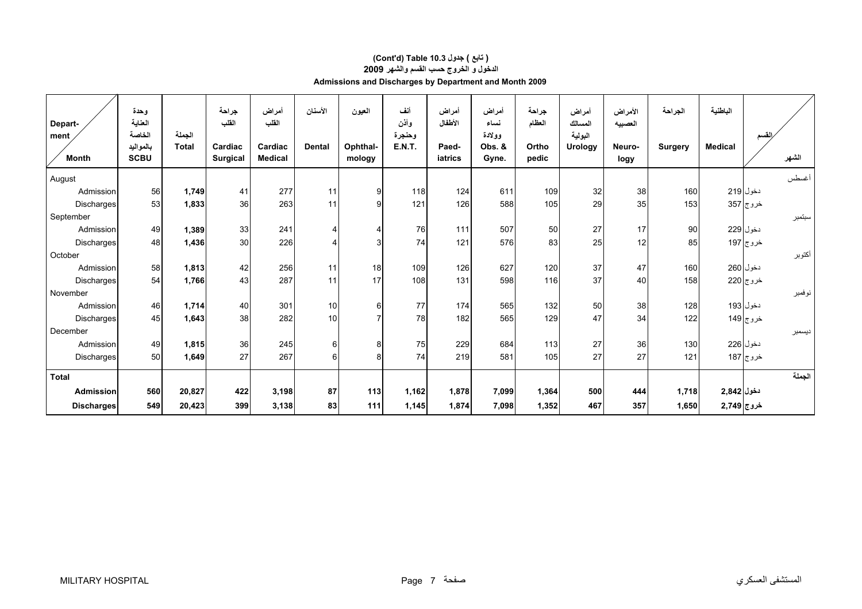# **الدخول <sup>و</sup> الخروج حسب القسم والشهر 2009 Admissions and Discharges by Department and Month 2009 (Cont'd) Table 10.3 جدول ) تابع(**

| Depart-              | وحدة<br>العناية                    |                        | جراحة<br>الفلب             | أمراض<br>القلب            | الأسنان          | العيون             | أنف<br>وأذن             | أمراض<br>الأطفال | أمراض<br>نساء             | جراحة<br>العظام | أمراض<br>المسالك   | الأمراض<br>العصبيه | الجراحة        | الباطنية       |                         |        |
|----------------------|------------------------------------|------------------------|----------------------------|---------------------------|------------------|--------------------|-------------------------|------------------|---------------------------|-----------------|--------------------|--------------------|----------------|----------------|-------------------------|--------|
| ment<br><b>Month</b> | الخاصة<br>بالمواليد<br><b>SCBU</b> | الجملة<br><b>Total</b> | Cardiac<br><b>Surgical</b> | Cardiac<br><b>Medical</b> | <b>Dental</b>    | Ophthal-<br>mology | وحنجرة<br><b>E.N.T.</b> | Paed-<br>iatrics | وولادة<br>Obs. &<br>Gyne. | Ortho<br>pedic  | البولية<br>Urology | Neuro-<br>logy     | <b>Surgery</b> | <b>Medical</b> |                         | الشهر  |
| August               |                                    |                        |                            |                           |                  |                    |                         |                  |                           |                 |                    |                    |                |                |                         | أغسطس  |
| Admission            | 56                                 | 1,749                  | 41                         | 277                       | 11               | 9                  | 118                     | 124              | 611                       | 109             | 32                 | 38                 | 160            |                | دخول 219                |        |
| Discharges           | 53                                 | 1,833                  | 36                         | 263                       | 11               | 9                  | 121                     | 126              | 588                       | 105             | 29                 | 35                 | 153            |                | خروج 357                |        |
| September            |                                    |                        |                            |                           |                  |                    |                         |                  |                           |                 |                    |                    |                |                |                         | سبتمبر |
| Admission            | 49                                 | 1,389                  | 33                         | 241                       | 4                | 4                  | 76                      | 111              | 507                       | 50              | 27                 | 17                 | 90             |                | دخول 229                |        |
| Discharges           | 48                                 | 1,436                  | 30                         | 226                       | 4                | 3                  | 74                      | 121              | 576                       | 83              | 25                 | 12                 | 85             |                | خروج <mark> </mark> 197 |        |
| October              |                                    |                        |                            |                           |                  |                    |                         |                  |                           |                 |                    |                    |                |                |                         | أكتوبر |
| Admission            | 58                                 | 1,813                  | 42                         | 256                       | 11               | 18                 | 109                     | 126              | 627                       | 120             | 37                 | 47                 | 160            |                | دخول 260                |        |
| Discharges           | 54                                 | 1,766                  | 43                         | 287                       | 11               | 17                 | 108                     | 131              | 598                       | 116             | 37                 | 40                 | 158            |                | خروج 220                |        |
| November             |                                    |                        |                            |                           |                  |                    |                         |                  |                           |                 |                    |                    |                |                |                         | نوفمبر |
| Admission            | 46                                 | 1,714                  | 40                         | 301                       | 10 <sub>1</sub>  | 6                  | 77                      | 174              | 565                       | 132             | 50                 | 38                 | 128            |                | دخول 193                |        |
| Discharges           | 45                                 | 1,643                  | 38                         | 282                       | 10               | 7                  | 78                      | 182              | 565                       | 129             | 47                 | 34                 | 122            |                | خروج 149                |        |
| December             |                                    |                        |                            |                           |                  |                    |                         |                  |                           |                 |                    |                    |                |                |                         | ديسمبر |
| Admission            | 49                                 | 1,815                  | 36                         | 245                       | $6 \overline{6}$ | 8                  | 75                      | 229              | 684                       | 113             | 27                 | 36                 | 130            |                | دخول 226                |        |
| Discharges           | 50                                 | 1,649                  | 27                         | 267                       | $6 \overline{6}$ | 8                  | 74                      | 219              | 581                       | 105             | 27                 | 27                 | 121            |                | خروج 187                |        |
| <b>Total</b>         |                                    |                        |                            |                           |                  |                    |                         |                  |                           |                 |                    |                    |                |                |                         | الجملة |
| Admission            | 560                                | 20,827                 | 422                        | 3,198                     | 87               | 113                | 1,162                   | 1,878            | 7,099                     | 1,364           | 500                | 444                | 1,718          | دخول 2,842     |                         |        |
| <b>Discharges</b>    | 549                                | 20,423                 | 399                        | 3,138                     | 83               | $111$              | 1,145                   | 1,874            | 7,098                     | 1,352           | 467                | 357                | 1,650          | خروج 2,749     |                         |        |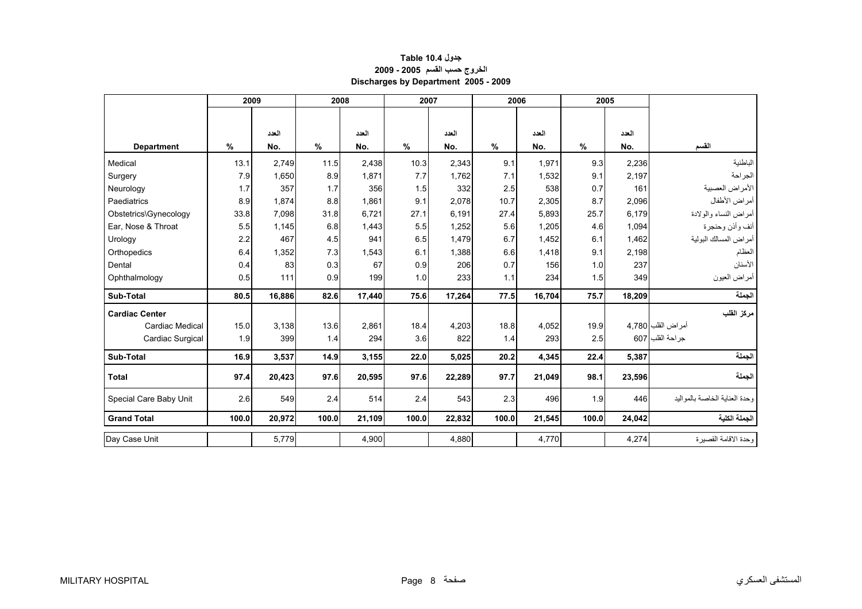## **جدول 10.4 Table الخروج حسب القسم 2005 - 2009 Discharges by Department 2005 - 2009**

<span id="page-6-0"></span>

|                        |       | 2009   |       | 2008   |       | 2007   |       | 2006   |               | 2005   |                                 |
|------------------------|-------|--------|-------|--------|-------|--------|-------|--------|---------------|--------|---------------------------------|
|                        |       |        |       |        |       |        |       |        |               |        |                                 |
|                        |       | العدد  |       | العدد  |       | العدد  |       | العدد  |               | العدد  |                                 |
| <b>Department</b>      | $\%$  | No.    | $\%$  | No.    | $\%$  | No.    | %     | No.    | $\frac{0}{0}$ | No.    | القسم                           |
| Medical                | 13.1  | 2,749  | 11.5  | 2,438  | 10.3  | 2,343  | 9.1   | 1,971  | 9.3           | 2,236  | الباطنية                        |
| Surgery                | 7.9   | 1,650  | 8.9   | 1,871  | 7.7   | 1,762  | 7.1   | 1,532  | 9.1           | 2,197  | الجراحة                         |
| Neurology              | 1.7   | 357    | 1.7   | 356    | 1.5   | 332    | 2.5   | 538    | 0.7           | 161    | الأمراض العصبية                 |
| Paediatrics            | 8.9   | 1,874  | 8.8   | 1,861  | 9.1   | 2,078  | 10.7  | 2,305  | 8.7           | 2,096  | أمراض الأطفال                   |
| Obstetrics\Gynecology  | 33.8  | 7,098  | 31.8  | 6,721  | 27.1  | 6,191  | 27.4  | 5,893  | 25.7          | 6,179  | أمراض النساء والولادة           |
| Ear, Nose & Throat     | 5.5   | 1,145  | 6.8   | 1,443  | 5.5   | 1,252  | 5.6   | 1,205  | 4.6           | 1,094  | أنف وأذن وحنجرة                 |
| Urology                | 2.2   | 467    | 4.5   | 941    | 6.5   | 1,479  | 6.7   | 1,452  | 6.1           | 1,462  | أمراض المسالك البولية           |
| Orthopedics            | 6.4   | 1,352  | 7.3   | 1,543  | 6.1   | 1,388  | 6.6   | 1,418  | 9.1           | 2,198  | العظام                          |
| Dental                 | 0.4   | 83     | 0.3   | 67     | 0.9   | 206    | 0.7   | 156    | 1.0           | 237    | الأسنان                         |
| Ophthalmology          | 0.5   | 111    | 0.9   | 199    | 1.0   | 233    | 1.1   | 234    | 1.5           | 349    | أمراض العيون                    |
| Sub-Total              | 80.5  | 16,886 | 82.6  | 17,440 | 75.6  | 17,264 | 77.5  | 16,704 | 75.7          | 18,209 | الجملة                          |
| <b>Cardiac Center</b>  |       |        |       |        |       |        |       |        |               |        | مركز القلب                      |
| <b>Cardiac Medical</b> | 15.0  | 3,138  | 13.6  | 2,861  | 18.4  | 4,203  | 18.8  | 4,052  | 19.9          |        | أمراض القلب 4,780               |
| Cardiac Surgical       | 1.9   | 399    | 1.4   | 294    | 3.6   | 822    | 1.4   | 293    | 2.5           |        | جراحة القلب 607                 |
| Sub-Total              | 16.9  | 3,537  | 14.9  | 3,155  | 22.0  | 5,025  | 20.2  | 4,345  | 22.4          | 5,387  | الجملة                          |
| <b>Total</b>           | 97.4  | 20,423 | 97.6  | 20,595 | 97.6  | 22,289 | 97.7  | 21,049 | 98.1          | 23,596 | الجملة                          |
| Special Care Baby Unit | 2.6   | 549    | 2.4   | 514    | 2.4   | 543    | 2.3   | 496    | 1.9           | 446    | وحدة العنابة الخاصبة بالمو البد |
| <b>Grand Total</b>     | 100.0 | 20,972 | 100.0 | 21,109 | 100.0 | 22,832 | 100.0 | 21,545 | 100.0         | 24,042 | الجملة الكلية                   |
| Day Case Unit          |       | 5,779  |       | 4,900  |       | 4,880  |       | 4,770  |               | 4,274  | وحدة الاقامة القصيرة            |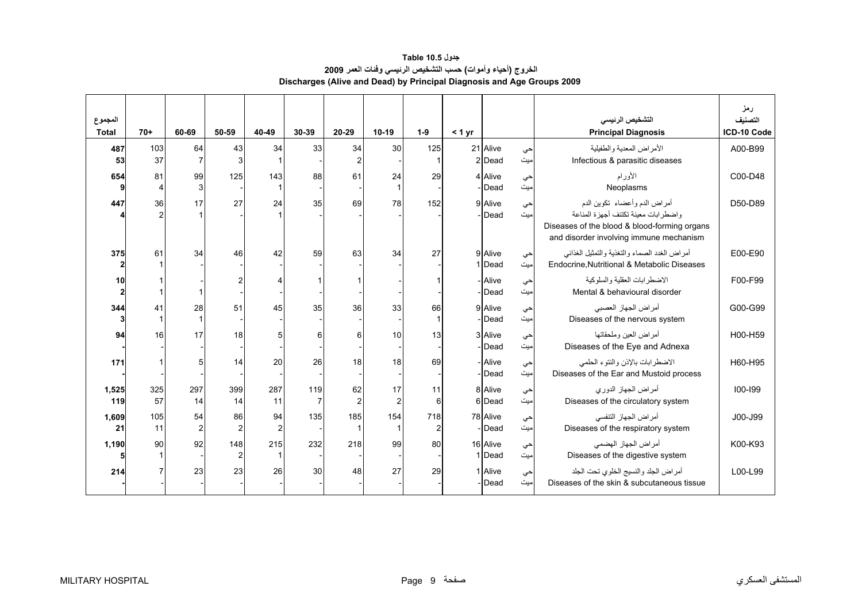# **جدول 10.5 Table الخروج (أحياء وأموات) حسب التشخيص الرئيسي وفئات العمر <sup>2009</sup> Discharges (Alive and Dead) by Principal Diagnosis and Age Groups 2009**

<span id="page-7-0"></span>

| المجموع<br><b>Total</b> | $70+$     | 60-69                | 50-59     | 40-49     | 30-39 | $20 - 29$      | $10-19$              | $1-9$                 | < 1 yr |                    |            | التشخيص الرئيسي<br><b>Principal Diagnosis</b>                                                | رمز<br>التصنيف<br>ICD-10 Code |
|-------------------------|-----------|----------------------|-----------|-----------|-------|----------------|----------------------|-----------------------|--------|--------------------|------------|----------------------------------------------------------------------------------------------|-------------------------------|
| 487                     | 103       | 64                   | 43        | 34        | 33    | 34             | 30                   | 125                   |        | 21 Alive           | حي         | الأمراض المعدية والطفيلية                                                                    | A00-B99                       |
| 53                      | 37        |                      | 3         |           |       | $\mathfrak{p}$ |                      |                       |        | 2Dead              | میت        | Infectious & parasitic diseases                                                              |                               |
| 654                     | 81        | 99                   | 125       | 143       | 88    | 61             | 24                   | 29                    |        | 4 Alive            | حي         | الأور ام                                                                                     | C00-D48                       |
|                         |           | 3                    |           |           |       |                |                      |                       |        | - Dead             | میت        | Neoplasms                                                                                    |                               |
| 447                     | 36        | 17                   | 27        | 24        | 35    | 69             | 78                   | 152                   |        | 9 Alive<br>- Dead  | حي<br>میت  | أمراض الدم وأعضاء تكوين الدم<br>واضطر ابات معينة تكتنف أجهز ة المناعة                        | D50-D89                       |
|                         |           |                      |           |           |       |                |                      |                       |        |                    |            | Diseases of the blood & blood-forming organs<br>and disorder involving immune mechanism      |                               |
| 375                     | 61        | 34                   | 46        | 42        | 59    | 63             | 34                   | 27                    |        | 9 Alive<br>1 Dead  | حي<br>میت  | أمراض الغدد الصماء والتغذية والتمثيل الغذائبي<br>Endocrine, Nutritional & Metabolic Diseases | E00-E90                       |
| 10<br>2                 |           |                      |           |           |       |                |                      |                       |        | - Alive<br>- Dead  | حي<br>میت  | الاضطر ابات العقلبة والسلوكبة<br>Mental & behavioural disorder                               | F00-F99                       |
| 344                     | 41        | 28<br>1              | 51        | 45        | 35    | 36             | 33                   | 66                    |        | 9 Alive<br>-Dead   | حي<br>میت  | أمراض الجهاز العصبي<br>Diseases of the nervous system                                        | G00-G99                       |
| 94                      | 16        | 17                   | 18        | 5         | 6     | 6              | 10                   | 13                    |        | 3 Alive<br>- Dead  | حي<br>میت  | أمراض العين وملحقاتها<br>Diseases of the Eye and Adnexa                                      | H00-H59                       |
| 171                     |           | 5                    | 14        | 20        | 26    | 18             | 18                   | 69                    |        | - Alive<br>- Dead  | حي<br>میت  | الاضطر ابات بالإذن والنتوء الحلمي<br>Diseases of the Ear and Mustoid process                 | H60-H95                       |
| 1,525<br>119            | 325<br>57 | 297<br>14            | 399<br>14 | 287<br>11 | 119   | 62<br>2        | 17<br>$\overline{2}$ | 11<br>6               |        | 8 Alive<br>6Dead   | حي<br>امیت | أمراض الجهاز الدوري<br>Diseases of the circulatory system                                    | $100 - 199$                   |
| 1,609<br>21             | 105<br>11 | 54<br>$\overline{2}$ | 86<br>2   | 94<br>2   | 135   | 185            | 154                  | 718<br>$\overline{2}$ |        | 78 Alive<br>-IDead | حي<br>ميت  | أمراض الجهاز التنفسي<br>Diseases of the respiratory system                                   | J00-J99                       |
| 1,190                   | 90        | 92                   | 148       | 215<br>1  | 232   | 218            | 99                   | 80                    |        | 16 Alive<br>1Dead  | حي<br>میت  | أمراض الجهاز الهضمى<br>Diseases of the digestive system                                      | K00-K93                       |
| 214                     |           | 23                   | 23        | 26        | 30    | 48             | 27                   | 29                    |        | 1 Alive<br>- Dead  | حي<br>میت  | أمراض الجلد والنسيج الخلوى تحت الجلد<br>Diseases of the skin & subcutaneous tissue           | L00-L99                       |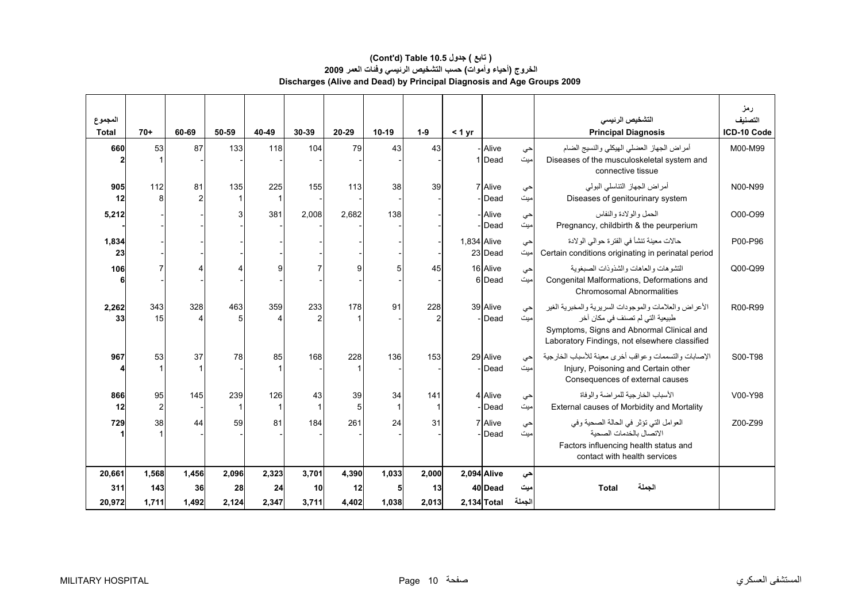## **الخروج (أحياء وأموات) حسب التشخيص الرئيسي وفئات العمر <sup>2009</sup> Discharges (Alive and Dead) by Principal Diagnosis and Age Groups 2009 (Cont'd) Table 10.5 جدول ) تابع(**

| المجموع<br><b>Total</b> | $70+$              | 60-69       | 50-59       | 40-49       | 30-39       | 20-29       | $10-19$ | $1 - 9$               | < 1 yr      |                            |               | التشخيص الرئيسي<br><b>Principal Diagnosis</b>                                                                                                                                          | رمز<br>التصنيف<br>ICD-10 Code |
|-------------------------|--------------------|-------------|-------------|-------------|-------------|-------------|---------|-----------------------|-------------|----------------------------|---------------|----------------------------------------------------------------------------------------------------------------------------------------------------------------------------------------|-------------------------------|
| 660                     | 53                 | 87          | 133         | 118         | 104         | 79          | 43      | 43                    |             | - Alive<br>1 Dead          | حي<br>میت     | أمراض الجهاز العضلى الهيكلي والنسيج الضام<br>Diseases of the musculoskeletal system and<br>connective tissue                                                                           | M00-M99                       |
| 905<br>12               | 112<br>8           | 81          | 135         | 225         | 155         | 113         | 38      | 39                    |             | 7 Alive<br>-Dead           | حي<br>میت     | أمراض الجهاز التناسلي البولي<br>Diseases of genitourinary system                                                                                                                       | N00-N99                       |
| 5,212                   |                    |             |             | 381         | 2.008       | 2.682       | 138     |                       |             | - Alive<br>- <b>I</b> Dead | حي<br>میت     | الحمل والو لادة والنفاس<br>Pregnancy, childbirth & the peurperium                                                                                                                      | O00-O99                       |
| 1,834<br>23             |                    |             |             |             |             |             |         |                       | 1,834 Alive | 23 Dead                    | حي<br>میت     | حالات معينة تنشأ في الفترة حوالي الولادة<br>Certain conditions originating in perinatal period                                                                                         | P00-P96                       |
| 106<br>6                |                    |             |             | c           |             | g           |         | 45                    |             | 16 Alive<br>6 Dead         | حي<br>میت     | التشوهات والعاهات والشذوذات الصبغوية<br>Congenital Malformations, Deformations and<br><b>Chromosomal Abnormalities</b>                                                                 | Q00-Q99                       |
| 2,262<br>33             | 343<br>15          | 328         | 463         | 359         | 233         | 178         | 91      | 228<br>$\overline{2}$ |             | 39 Alive<br>- Dead         | حي<br>میت     | الأعراض والعلامات والموجودات السريرية والمخبرية الغير<br>طبيعية التي لم تصنف في مكان آخر<br>Symptoms, Signs and Abnormal Clinical and<br>Laboratory Findings, not elsewhere classified | R00-R99                       |
| 967                     | 53                 | 37          | 78          | 85          | 168         | 228         | 136     | 153                   |             | 29 Alive<br>- Dead         | حى<br>میت     | الإصابات والتسممات وعواقب أخرى معينة للأسباب الخارجية<br>Injury, Poisoning and Certain other<br>Consequences of external causes                                                        | S00-T98                       |
| 866<br>12               | 95<br>$\mathbf{2}$ | 145         | 239         | 126         | 43          | 39<br>5     | 34<br>1 | 141<br>1              |             | 4 Alive<br>- <b>I</b> Dead | حي<br>میت     | الأسباب الخار جية للمر اضبة و الوفاة<br>External causes of Morbidity and Mortality                                                                                                     | V00-Y98                       |
| 729                     | 38                 | 44          | 59          | 81          | 184         | 261         | 24      | 31                    |             | 7 Alive<br>-Dead           | حي<br>میت     | العوامل التي تؤثر في الحالة الصحية وفي<br>الاتصال بالخدمات الصحبة<br>Factors influencing health status and<br>contact with health services                                             | Z00-Z99                       |
| 20,661                  | 1,568              | 1,456       | 2,096       | 2,323       | 3,701       | 4,390       | 1,033   | 2,000                 | 2,094 Alive |                            | حي            |                                                                                                                                                                                        |                               |
| 311<br>20,972           | 143<br>1,711       | 36<br>1,492 | 28<br>2,124 | 24<br>2,347 | 10<br>3,711 | 12<br>4,402 | 1,038   | 13<br>2,013           | 2,134 Total | 40 Dead                    | ميت<br>الجملة | الجملة<br><b>Total</b>                                                                                                                                                                 |                               |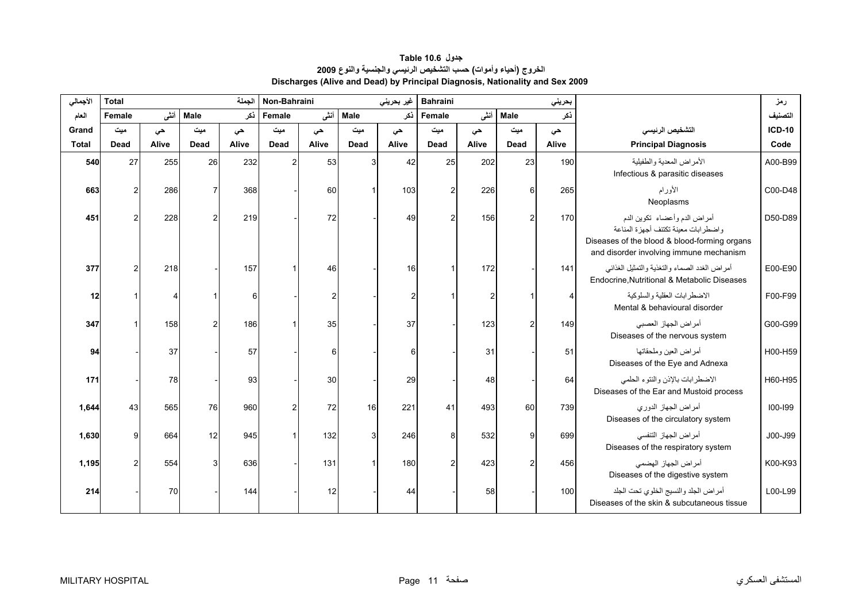<span id="page-9-0"></span>

| الأجمالي     | <b>Total</b> |       |                | الجملة | Non-Bahraini   |       |              | غير بحريني | <b>Bahraini</b><br>بحريني |       |                |       |                                                                                                                                                                  | رمز           |
|--------------|--------------|-------|----------------|--------|----------------|-------|--------------|------------|---------------------------|-------|----------------|-------|------------------------------------------------------------------------------------------------------------------------------------------------------------------|---------------|
| العام        | Female       | أننس  | <b>Male</b>    | ذكر    | Female         | أنشى  | <b>Male</b>  | ذكر        | Female                    | أنثى  | <b>Male</b>    | ذكر   |                                                                                                                                                                  | التصنيف       |
| Grand        | میت          | حى    | میت            | حى     | میت            | حى    | میت          | حى         | میت                       | حى    | میت            | حى    | التشخيص الرئيسى                                                                                                                                                  | <b>ICD-10</b> |
| <b>Total</b> | Dead         | Alive | Dead           | Alive  | Dead           | Alive | Dead         | Alive      | Dead                      | Alive | Dead           | Alive | <b>Principal Diagnosis</b>                                                                                                                                       | Code          |
| 540          | 27           | 255   | 26             | 232    | $\overline{2}$ | 53    | 3            | 42         | 25                        | 202   | 23             | 190   | الأمراض المعدية والطفيلية<br>Infectious & parasitic diseases                                                                                                     | A00-B99       |
| 663          |              | 286   |                | 368    |                | 60    |              | 103        |                           | 226   | 6              | 265   | الأورام<br>Neoplasms                                                                                                                                             | C00-D48       |
| 451          |              | 228   | $\mathfrak{p}$ | 219    |                | 72    |              | 49         | 2                         | 156   |                | 170   | أمراض الدم وأعضاء تكوين الدم<br>واضطر ابات معينة تكتنف أجهز ة المناعة<br>Diseases of the blood & blood-forming organs<br>and disorder involving immune mechanism | D50-D89       |
| 377          |              | 218   |                | 157    |                | 46    |              | 16         |                           | 172   |                | 141   | أمراض الغدد الصماء والتغذية والتمثيل الغذائبي<br>Endocrine, Nutritional & Metabolic Diseases                                                                     | E00-E90       |
| 12           |              |       |                | 6      |                | 2     |              | 2          |                           |       |                |       | الاضطرابات العقلية والسلوكية<br>Mental & behavioural disorder                                                                                                    | F00-F99       |
| 347          |              | 158   | 2              | 186    |                | 35    |              | 37         |                           | 123   | 2              | 149   | أمراض الجهاز العصبي<br>Diseases of the nervous system                                                                                                            | G00-G99       |
| 94           |              | 37    |                | 57     |                | 6     |              | 6          |                           | 31    |                | 51    | أمراض العين وملحقاتها<br>Diseases of the Eye and Adnexa                                                                                                          | H00-H59       |
| 171          |              | 78    |                | 93     |                | 30    |              | 29         |                           | 48    |                | 64    | الاضطرابات بالإذن والنتوء الحلمى<br>Diseases of the Ear and Mustoid process                                                                                      | H60-H95       |
| 1,644        | 43           | 565   | 76             | 960    | $\mathfrak{p}$ | 72    | 16           | 221        | 41                        | 493   | 60             | 739   | أمراض الجهاز الدوري<br>Diseases of the circulatory system                                                                                                        | $100 - 199$   |
| 1,630        | Q            | 664   | 12             | 945    |                | 132   | $\mathbf{3}$ | 246        | 8                         | 532   | 9              | 699   | أمراض الجهاز التنفسي<br>Diseases of the respiratory system                                                                                                       | J00-J99       |
| 1,195        |              | 554   | 3              | 636    |                | 131   |              | 180        | $\overline{2}$            | 423   | $\overline{2}$ | 456   | أمراض الجهاز الهضمى<br>Diseases of the digestive system                                                                                                          | K00-K93       |
| 214          |              | 70    |                | 144    |                | 12    |              | 44         |                           | 58    |                | 100   | أمراض الجلد والنسيج الخلوى تحت الجلد<br>Diseases of the skin & subcutaneous tissue                                                                               | L00-L99       |

**جدول 10.6 Table الخروج (أحياء وأموات) حسب التشخيص الرئيسي والجنسية والنوع <sup>2009</sup> Discharges (Alive and Dead) by Principal Diagnosis, Nationality and Sex 2009**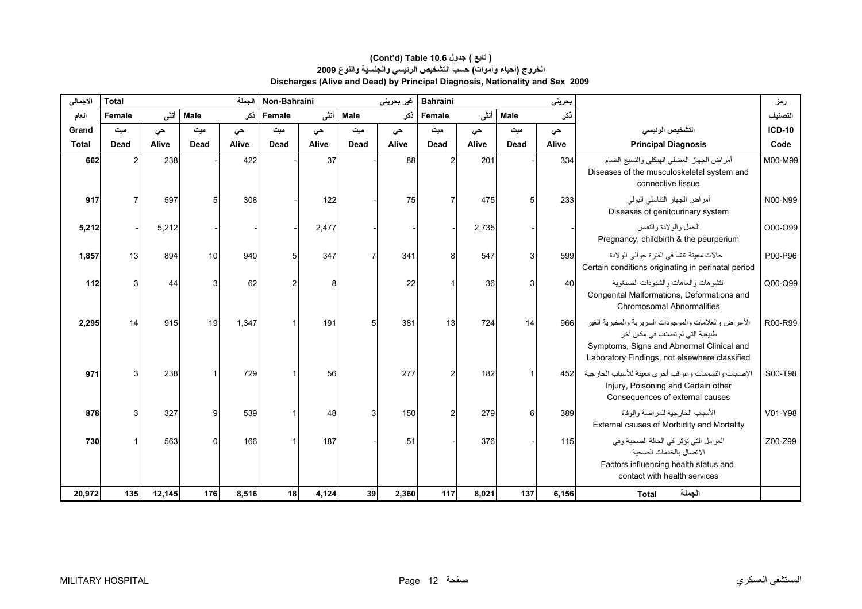| الأجمالي     | <b>Total</b>     |        |             | الجملة | Non-Bahraini<br>غیر بحرینی |       |             |       | <b>Bahraini</b> |       |             | بحريني |                                                                                                                                                                                        | رمز      |
|--------------|------------------|--------|-------------|--------|----------------------------|-------|-------------|-------|-----------------|-------|-------------|--------|----------------------------------------------------------------------------------------------------------------------------------------------------------------------------------------|----------|
| العام        | Female           | أننشى  | <b>Male</b> | ذكر    | Female                     | أنشى  | <b>Male</b> | ذكر   | Female          | أنثى  | <b>Male</b> | ذكر    |                                                                                                                                                                                        | التصنيف  |
| Grand        | میت              | حى     | ميت         | حى     | میت                        | حى    | ميت         | حى    | میت             | حى    | میت         | حي     | التشخيص الرئيسي                                                                                                                                                                        | $ICD-10$ |
| <b>Total</b> | Dead             | Alive  | Dead        | Alive  | Dead                       | Alive | Dead        | Alive | Dead            | Alive | Dead        | Alive  | <b>Principal Diagnosis</b>                                                                                                                                                             | Code     |
| 662          | 2                | 238    |             | 422    |                            | 37    |             | 88    | $\mathcal{P}$   | 201   |             | 334    | أمراض الجهاز العضلى الهيكلي والنسيج الضام<br>Diseases of the musculoskeletal system and<br>connective tissue                                                                           | M00-M99  |
| 917          |                  | 597    |             | 308    |                            | 122   |             | 75    |                 | 475   |             | 233    | أمراض الجهاز التناسلي البولي<br>Diseases of genitourinary system                                                                                                                       | N00-N99  |
| 5,212        |                  | 5,212  |             |        |                            | 2,477 |             |       |                 | 2,735 |             |        | الحمل والو لادة والنفاس<br>Pregnancy, childbirth & the peurperium                                                                                                                      | O00-O99  |
| 1,857        | 13               | 894    | 10          | 940    |                            | 347   |             | 341   | 8               | 547   | 3           | 599    | حالات معينة تنشأ في الفترة حوالى الولادة<br>Certain conditions originating in perinatal period                                                                                         | P00-P96  |
| 112          |                  | 44     | 3           | 62     | 2                          | 8     |             | 22    |                 | 36    |             | 40     | التشوهات والعاهات والشذوذات الصبغوية<br>Congenital Malformations, Deformations and<br><b>Chromosomal Abnormalities</b>                                                                 | Q00-Q99  |
| 2,295        | 14               | 915    | 19          | 1,347  |                            | 191   | 5           | 381   | 13              | 724   | 14          | 966    | الأعراض والعلامات والموجودات السريرية والمخبرية الغير<br>طبيعية التي لم تصنف في مكان آخر<br>Symptoms, Signs and Abnormal Clinical and<br>Laboratory Findings, not elsewhere classified | R00-R99  |
| 971          |                  | 238    |             | 729    |                            | 56    |             | 277   | 2               | 182   |             | 452    | الإصابات والتسممات وعواقب أخرى معينة للأسباب الخارجية<br>Injury, Poisoning and Certain other<br>Consequences of external causes                                                        | S00-T98  |
| 878          |                  | 327    | 9           | 539    |                            | 48    |             | 150   | 2               | 279   |             | 389    | الأسباب الخار جية للمر اضنة و الوفاة<br>External causes of Morbidity and Mortality                                                                                                     | V01-Y98  |
| 730          |                  | 563    | $\Omega$    | 166    |                            | 187   |             | 51    |                 | 376   |             | 115    | العوامل التي تؤثر في الحالة الصحية وفي<br>الاتصال بالخدمات الصحبة<br>Factors influencing health status and<br>contact with health services                                             | Z00-Z99  |
| 20,972       | 135 <sup>1</sup> | 12,145 | 176         | 8,516  | 18                         | 4.124 | 39          | 2,360 | 117             | 8,021 | 137         | 6,156  | الجملة<br><b>Total</b>                                                                                                                                                                 |          |

## **Discharges (Alive and Dead) by Principal Diagnosis, Nationality and Sex 2009 (Cont'd) Table 10.6 جدول ) تابع( الخروج (أحياء وأموات) حسب التشخيص الرئيسي والجنسية والنوع <sup>2009</sup>**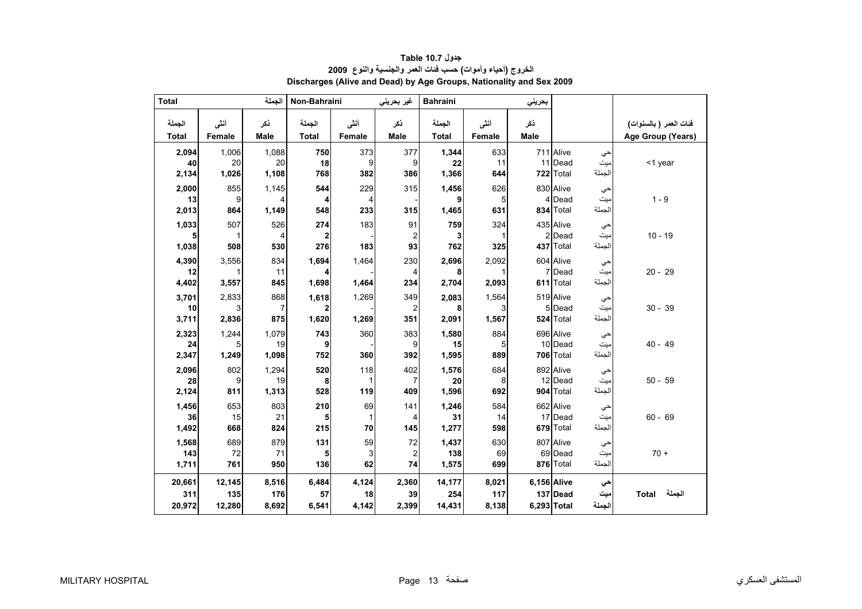<span id="page-11-0"></span>

| <b>Total</b>            |                         | الجملة                | Non-Bahraini         |                      | غير بحريني                          | <b>Bahraini</b>         |                       | بحريني      |                                                          |                        |
|-------------------------|-------------------------|-----------------------|----------------------|----------------------|-------------------------------------|-------------------------|-----------------------|-------------|----------------------------------------------------------|------------------------|
| الجملة                  | أننى                    | ذكر                   | الجملة               | أننى                 | ذكر                                 | الجملة                  | أننى                  | ذكر         |                                                          | فنات العمر ( بالسنوات) |
| <b>Total</b>            | Female                  | <b>Male</b>           | <b>Total</b>         | Female               | <b>Male</b>                         | <b>Total</b>            | Female                | <b>Male</b> |                                                          | Age Group (Years)      |
| 2,094<br>40             | 1,006<br>20             | 1,088<br>20           | 750<br>18            | 373<br>9             | 377<br>9                            | 1,344<br>22             | 633<br>11             |             | 711 Alive<br>حى<br>میت<br>11 Dead                        | <1 year                |
| 2,134                   | 1,026                   | 1,108                 | 768                  | 382                  | 386                                 | 1,366                   | 644                   |             | الجملة<br>722 Total                                      |                        |
| 2,000<br>13             | 855                     | 1,145                 | 544                  | 229                  | 315                                 | 1,456<br>9              | 626                   |             | 830 Alive<br>حي<br>4 Dead                                | $1 - 9$                |
| 2,013                   | 9<br>864                | 4<br>1,149            | 4<br>548             | 4<br>233             | 315                                 | 1,465                   | 5<br>631              |             | ميت<br>الجملة<br>834 Total                               |                        |
| 1,033<br>5              | 507<br>1                | 526                   | 274                  | 183                  | 91                                  | 759<br>3                | 324<br>1              |             | 435 Alive<br>حي<br>2 Dead                                | $10 - 19$              |
| 1,038                   | 508                     | 4<br>530              | $\mathbf 2$<br>276   | 183                  | $\overline{\mathbf{c}}$<br>93       | 762                     | 325                   |             | میت<br>الجملة<br>437 Total                               |                        |
| 4,390<br>12             | 3,556                   | 834<br>11             | 1,694                | 1,464                | 230<br>4                            | 2,696                   | 2,092                 |             | 604 Alive<br>حي<br>7 Dead<br>میت                         | $20 - 29$              |
| 4,402                   | 3,557                   | 845                   | 1,698                | 1,464                | 234                                 | 2,704                   | 2,093                 |             | الجملة<br>611 Total                                      |                        |
| 3,701<br>10             | 2,833<br>3              | 868<br>7              | 1,618<br>2           | 1,269                | 349<br>2                            | 2,083<br>8              | 1,564<br>3            |             | 519 Alive<br>حي<br>5 Dead<br>میت                         | $30 - 39$              |
| 3,711                   | 2,836                   | 875                   | 1,620                | 1,269                | 351                                 | 2,091                   | 1,567                 |             | الجملة<br>524 Total                                      |                        |
| 2,323<br>24<br>2,347    | 1,244<br>5<br>1,249     | 1,079<br>19<br>1,098  | 743<br>9<br>752      | 360<br>360           | 383<br>9<br>392                     | 1,580<br>15<br>1,595    | 884<br>5<br>889       |             | 696 Alive<br>حي<br>10 Dead<br>میت<br>الجملة<br>706 Total | $40 - 49$              |
| 2,096                   | 802                     | 1,294                 | 520                  | 118                  | 402                                 | 1,576                   | 684                   |             | 892 Alive                                                |                        |
| 28<br>2,124             | 9<br>811                | 19<br>1,313           | 8<br>528             | 1<br>119             | 7<br>409                            | 20<br>1,596             | 8<br>692              |             | حي<br>12 Dead<br>میت<br>الجملة<br>904 Total              | $50 - 59$              |
| 1,456<br>36<br>1,492    | 653<br>15<br>668        | 803<br>21<br>824      | 210<br>5<br>215      | 69<br>1<br>70        | 141<br>4<br>145                     | 1,246<br>31<br>1,277    | 584<br>14<br>598      |             | 662 Alive<br>حى<br>17 Dead<br>میت<br>الجملة<br>679 Total | $60 - 69$              |
| 1,568<br>143<br>1,711   | 689<br>72<br>761        | 879<br>71<br>950      | 131<br>5<br>136      | 59<br>3<br>62        | 72<br>$\overline{\mathbf{c}}$<br>74 | 1,437<br>138<br>1,575   | 630<br>69<br>699      |             | 807 Alive<br>حي<br>69 Dead<br>میت<br>الجملة<br>876 Total | $70 +$                 |
| 20,661<br>311<br>20,972 | 12,145<br>135<br>12,280 | 8,516<br>176<br>8,692 | 6,484<br>57<br>6,541 | 4,124<br>18<br>4,142 | 2,360<br>39<br>2,399                | 14,177<br>254<br>14,431 | 8,021<br>117<br>8,138 | 6,156 Alive | حى<br>137 Dead<br>میت<br>الجملة<br>6,293 Total           | الجملة<br><b>Total</b> |

**جدول 10.7 Table الخروج (أحياء وأموات) حسب فئات العمر والجنسية والنوع <sup>2009</sup> Discharges (Alive and Dead) by Age Groups, Nationality and Sex 2009**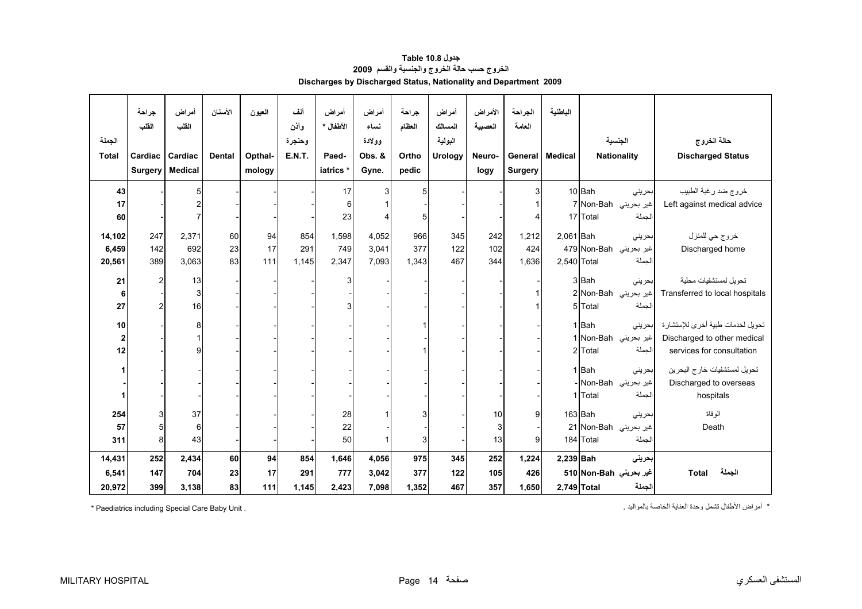<span id="page-12-0"></span>

| الجملة<br><b>Total</b> | جراحة<br>القلب<br>Cardiac<br><b>Surgery</b> | أمراض<br>القلب<br>Cardiac<br><b>Medical</b> | الأسنان<br><b>Dental</b> | العيون<br>Opthal-<br>mology | أنف<br>وأذن<br>وحنجرة<br><b>E.N.T.</b> | أمراض<br>الأطفال *<br>Paed-<br>iatrics * | أمراض<br>نساء<br>وولادة<br>Obs. &<br>Gyne. | جراحة<br>العظام<br>Ortho<br>pedic | أمراض<br>المسالك<br>البولية<br>Urology | الأمراض<br>العصبية<br>Neuro-<br>logy | الجراحة<br>العامة<br><b>Surgery</b> | الباطنية<br>General   Medical |                        | الجنسية<br><b>Nationality</b>  | حالة الخروج<br><b>Discharged Status</b>  |
|------------------------|---------------------------------------------|---------------------------------------------|--------------------------|-----------------------------|----------------------------------------|------------------------------------------|--------------------------------------------|-----------------------------------|----------------------------------------|--------------------------------------|-------------------------------------|-------------------------------|------------------------|--------------------------------|------------------------------------------|
| 43                     |                                             | 5                                           |                          |                             |                                        | 17                                       | 3                                          | 5                                 |                                        |                                      | 3                                   |                               | 10 Bah                 | بحريني                         | خروج ضد رغبة الطبيب                      |
| 17                     |                                             | $\overline{2}$                              |                          |                             |                                        | 6                                        |                                            |                                   |                                        |                                      |                                     |                               |                        | اغير بحريني Non-Bah            | Left against medical advice              |
| 60                     |                                             |                                             |                          |                             |                                        | 23                                       | 4                                          | 5                                 |                                        |                                      |                                     |                               | 17 Total               | الجملة                         |                                          |
| 14,102                 | 247                                         | 2,371                                       | 60                       | 94                          | 854                                    | 1,598                                    | 4,052                                      | 966                               | 345                                    | 242                                  | 1,212                               | $2,061$ Bah                   |                        | بحريني                         | خروج حي للمنزل                           |
| 6,459                  | 142                                         | 692                                         | 23                       | 17                          | 291                                    | 749                                      | 3,041                                      | 377                               | 122                                    | 102                                  | 424                                 |                               | غير بحريني Non-Bah 479 |                                | Discharged home                          |
| 20,561                 | 389                                         | 3,063                                       | 83                       | 111                         | 1,145                                  | 2,347                                    | 7,093                                      | 1,343                             | 467                                    | 344                                  | 1,636                               | 2,540 Total                   |                        | الجملة                         |                                          |
|                        |                                             |                                             |                          |                             |                                        |                                          |                                            |                                   |                                        |                                      |                                     |                               |                        |                                |                                          |
| 21                     |                                             | 13                                          |                          |                             |                                        | 3                                        |                                            |                                   |                                        |                                      |                                     |                               | 3Bah                   | بحرينى                         | تحويل لمستشفيات محلية                    |
| 6                      |                                             | 3                                           |                          |                             |                                        |                                          |                                            |                                   |                                        |                                      |                                     |                               |                        | غير بحريني Non-Bah             | Transferred to local hospitals           |
| 27                     |                                             | 16                                          |                          |                             |                                        |                                          |                                            |                                   |                                        |                                      |                                     |                               | 5 Total                | الجملة                         |                                          |
| 10                     |                                             | 8                                           |                          |                             |                                        |                                          |                                            |                                   |                                        |                                      |                                     |                               | $1$ Bah                |                                | تحويل لخدمات طبية أخرى للإستشارة إبحريني |
| $\mathbf{2}$           |                                             |                                             |                          |                             |                                        |                                          |                                            |                                   |                                        |                                      |                                     |                               |                        | غير بحريني Non-Bah             | Discharged to other medical              |
| 12                     |                                             | g                                           |                          |                             |                                        |                                          |                                            |                                   |                                        |                                      |                                     |                               | 2Total                 | الجملة                         | services for consultation                |
|                        |                                             |                                             |                          |                             |                                        |                                          |                                            |                                   |                                        |                                      |                                     |                               |                        |                                |                                          |
|                        |                                             |                                             |                          |                             |                                        |                                          |                                            |                                   |                                        |                                      |                                     |                               | 1Bah                   | بحريني                         | تحويل لمستشفيات خارج البحرين             |
|                        |                                             |                                             |                          |                             |                                        |                                          |                                            |                                   |                                        |                                      |                                     |                               | 1 Total                | غير بحريني Non-Bah .<br>الجملة | Discharged to overseas<br>hospitals      |
|                        |                                             |                                             |                          |                             |                                        |                                          |                                            |                                   |                                        |                                      |                                     |                               |                        |                                |                                          |
| 254                    |                                             | 37                                          |                          |                             |                                        | 28                                       |                                            | 3                                 |                                        | 10                                   | 9                                   |                               | $163$ Bah              | بحريني                         | الو فاة                                  |
| 57                     |                                             | 6                                           |                          |                             |                                        | 22                                       |                                            |                                   |                                        | 3                                    |                                     |                               |                        | غير بحريني Non-Bah 21          | Death                                    |
| 311                    | 8                                           | 43                                          |                          |                             |                                        | 50                                       |                                            | $\mathbf{3}$                      |                                        | 13                                   | 9                                   |                               | 184 Total              | الجملة                         |                                          |
| 14,431                 | 252                                         | 2,434                                       | 60                       | 94                          | 854                                    | 1,646                                    | 4,056                                      | 975                               | 345                                    | 252                                  | 1,224                               | 2,239 Bah                     |                        | بحريني                         |                                          |
| 6,541                  | 147                                         | 704                                         | 23                       | 17                          | 291                                    | 777                                      | 3,042                                      | 377                               | 122                                    | 105                                  | 426                                 |                               | غير بحريني Non-Bah 510 |                                | الجملة<br><b>Total</b>                   |
| 20,972                 | 399                                         | 3,138                                       | 83                       | $111$                       | 1,145                                  | 2,423                                    | 7,098                                      | 1,352                             | 467                                    | 357                                  | 1,650                               | 2,749 Total                   |                        | الجملة                         |                                          |

**جدول 10.8 Table الخروج حسب حالة الخروج والجنسية والقسم <sup>2009</sup> Discharges by Discharged Status, Nationality and Department 2009** 

\* أمراض الأطفال تشمل وحدة العناية الخاصة بالمواليد . . Unit Baby Care Special including Paediatrics\*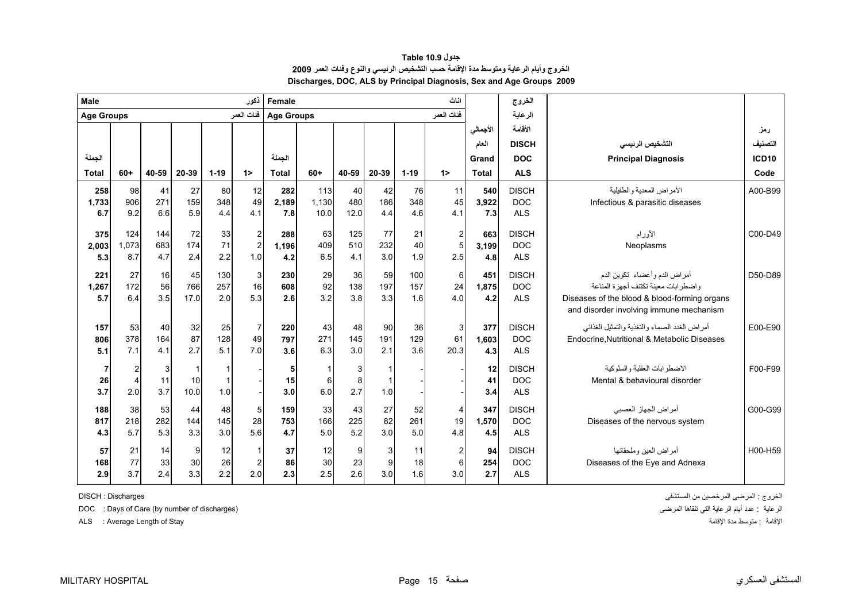<span id="page-13-0"></span>

| Male              |                  |       |             |          | ذكور                    | Female            |       |       |                |          | اناث             |          | الخروج       |                                                                                         |              |
|-------------------|------------------|-------|-------------|----------|-------------------------|-------------------|-------|-------|----------------|----------|------------------|----------|--------------|-----------------------------------------------------------------------------------------|--------------|
| <b>Age Groups</b> |                  |       |             |          | فئات العمر              | <b>Age Groups</b> |       |       |                |          | فئات العمر       |          | الرعاية      |                                                                                         |              |
|                   |                  |       |             |          |                         |                   |       |       |                |          |                  | الأجمالي | الأقامة      |                                                                                         | رمز          |
|                   |                  |       |             |          |                         |                   |       |       |                |          |                  | العام    | <b>DISCH</b> | التشخيص الرئيسى                                                                         | التصنيف      |
| الجملة            |                  |       |             |          |                         | الحملة            |       |       |                |          |                  | Grand    | <b>DOC</b>   | <b>Principal Diagnosis</b>                                                              | <b>ICD10</b> |
| <b>Total</b>      | $60+$            | 40-59 | 20-39       | $1 - 19$ | $1\geq$                 | <b>Total</b>      | $60+$ | 40-59 | 20-39          | $1 - 19$ | $1\geq$          | Total    | <b>ALS</b>   |                                                                                         | Code         |
| 258               | 98               | 41    | 27          | 80       | 12                      | 282               | 113   | 40    | 42             | 76       | 11               | 540      | <b>DISCH</b> | الأمراض المعدية والطفيلية                                                               | A00-B99      |
| 1,733             | 906              | 271   | 159         | 348      | 49                      | 2,189             | 1,130 | 480   | 186            | 348      | 45               | 3,922    | DOC          | Infectious & parasitic diseases                                                         |              |
| 6.7               | 9.2              | 6.6   | 5.9         | 4.4      | 4.1                     | 7.8               | 10.0  | 12.0  | 4.4            | 4.6      | 4.1              | 7.3      | <b>ALS</b>   |                                                                                         |              |
| 375               | 124              | 144   | 72          | 33       | $\overline{\mathbf{c}}$ | 288               | 63    | 125   | 77             | 21       | $\boldsymbol{2}$ | 663      | <b>DISCH</b> | الأورام                                                                                 | C00-D49      |
| 2,003             | 1,073            | 683   | 174         | 71       | $\overline{c}$          | 1,196             | 409   | 510   | 232            | 40       | $\overline{5}$   | 3,199    | <b>DOC</b>   | Neoplasms                                                                               |              |
| 5.3               | 8.7              | 4.7   | 2.4         | 2.2      | 1.0                     | 4.2               | 6.5   | 4.1   | 3.0            | 1.9      | 2.5              | 4.8      | <b>ALS</b>   |                                                                                         |              |
| 221               | 27               | 16    | 45          | 130      | 3                       | 230               | 29    | 36    | 59             | 100      | 6                | 451      | <b>DISCH</b> | أمراض الدم وأعضاء تكوين الدم                                                            | D50-D89      |
| 1,267             | 172              | 56    | 766         | 257      | 16                      | 608               | 92    | 138   | 197            | 157      | 24               | 1,875    | <b>DOC</b>   | واضطر ابات معبنة تكتنف أجهز ة المناعة                                                   |              |
| 5.7               | 6.4              | 3.5   | 17.0        | 2.0      | 5.3                     | 2.6               | 3.2   | 3.8   | 3.3            | 1.6      | 4.0              | 4.2      | <b>ALS</b>   | Diseases of the blood & blood-forming organs<br>and disorder involving immune mechanism |              |
| 157               | 53               | 40    | 32          | 25       | $\overline{7}$          | 220               | 43    | 48    | 90             | 36       | 3                | 377      | <b>DISCH</b> | أمراض الغدد الصماء والتغذية والتمثيل الغذائي                                            | E00-E90      |
| 806               | 378              | 164   | 87          | 128      | 49                      | 797               | 271   | 145   | 191            | 129      | 61               | 1,603    | <b>DOC</b>   | Endocrine, Nutritional & Metabolic Diseases                                             |              |
| 5.1               | 7.1              | 4.1   | 2.7         | 5.1      | 7.0                     | 3.6               | 6.3   | 3.0   | 2.1            | 3.6      | 20.3             | 4.3      | <b>ALS</b>   |                                                                                         |              |
| 7                 | $\boldsymbol{2}$ |       | $\mathbf 1$ |          |                         | 5                 | 1     | 3     |                |          |                  | 12       | <b>DISCH</b> | الإضطر ابات العقلبة والسلوكبة                                                           | F00-F99      |
| 26                | $\overline{4}$   | 11    | 10          |          |                         | 15                | 6     | 8     |                |          |                  | 41       | <b>DOC</b>   | Mental & behavioural disorder                                                           |              |
| 3.7               | 2.0              | 3.7   | 10.0        | 1.0      |                         | 3.0               | 6.0   | 2.7   | 1.0            |          |                  | 3.4      | <b>ALS</b>   |                                                                                         |              |
| 188               | 38               | 53    | 44          | 48       | 5                       | 159               | 33    | 43    | 27             | 52       | 4                | 347      | <b>DISCH</b> | أمر اض الجهاز العصبي                                                                    | G00-G99      |
| 817               | 218              | 282   | 144         | 145      | 28                      | 753               | 166   | 225   | 82             | 261      | 19               | 1,570    | <b>DOC</b>   | Diseases of the nervous system                                                          |              |
| 4.3               | 5.7              | 5.3   | 3.3         | 3.0      | 5.6                     | 4.7               | 5.0   | 5.2   | 3.0            | 5.0      | 4.8              | 4.5      | <b>ALS</b>   |                                                                                         |              |
| 57                | 21               | 14    | 9           | 12       | $\mathbf{1}$            | 37                | 12    | 9     | $\overline{3}$ | 11       | 2                | 94       | <b>DISCH</b> | أمر اض العين وملحقاتها                                                                  | H00-H59      |
| 168               | 77               | 33    | 30          | 26       | $\overline{2}$          | 86                | 30    | 23    | $\mathsf{g}$   | 18       | 6                | 254      | <b>DOC</b>   | Diseases of the Eye and Adnexa                                                          |              |
| 2.9               | 3.7              | 2.4   | 3.3         | 2.2      | 2.0                     | 2.3               | 2.5   | 2.6   | 3.0            | 1.6      | 3.0              | 2.7      | <b>ALS</b>   |                                                                                         |              |

# **جدول 10.9 Table الخروج وأيام الرعاية ومتوسط مدة الإقامة حسب التشخيص الرئيسي والنوع وفئات العمر <sup>2009</sup> Discharges, DOC, ALS by Principal Diagnosis, Sex and Age Groups 2009**

DOC : Days of Care (by number of discharges) المرضى تلقاها التي الرعاية أيام عدد : الرعاية

الإقامة : متوسط مدة الإقامة : "ALS : Average Length of Stay ، متوسط مدة الإقامة الإقامة متوسط مدة الإقامة م

الخروج : المرضى المرخصين من المستشفى Discharges : DISCH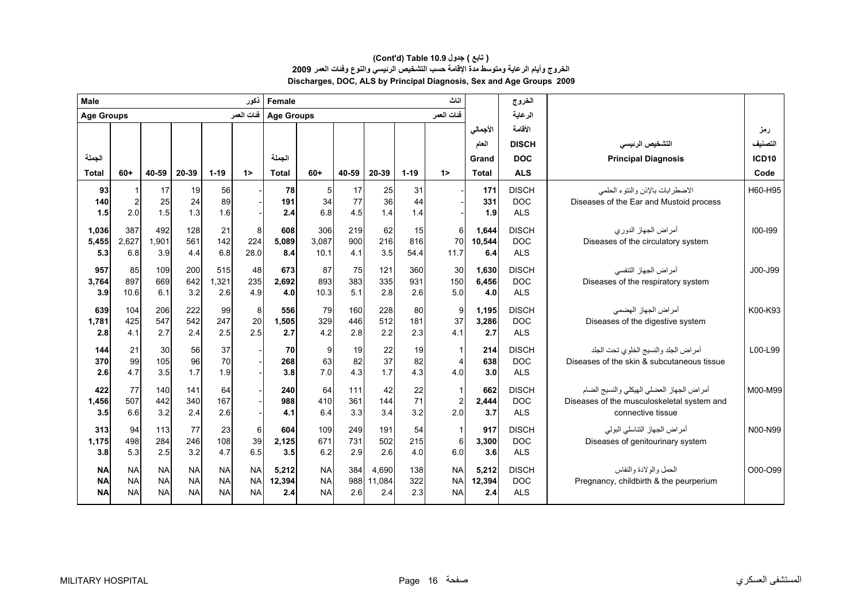| <b>Male</b>       |                |           |           |           | ذكور       | Female            |           |       |        |          | اناث                    |          | الخروج       |                                            |                   |
|-------------------|----------------|-----------|-----------|-----------|------------|-------------------|-----------|-------|--------|----------|-------------------------|----------|--------------|--------------------------------------------|-------------------|
| <b>Age Groups</b> |                |           |           |           | فئات العمر | <b>Age Groups</b> |           |       |        |          | فئات العمر              |          | الرعاية      |                                            |                   |
|                   |                |           |           |           |            |                   |           |       |        |          |                         | الأجمالي | الأقامة      |                                            | رمز               |
|                   |                |           |           |           |            |                   |           |       |        |          |                         | العام    | <b>DISCH</b> | التشخيص الرئيسى                            | التصنيف           |
| الجملة            |                |           |           |           |            | الجملة            |           |       |        |          |                         | Grand    | <b>DOC</b>   | <b>Principal Diagnosis</b>                 | ICD <sub>10</sub> |
| <b>Total</b>      | $60+$          | 40-59     | 20-39     | $1 - 19$  | $1\geq$    | Total             | $60+$     | 40-59 | 20-39  | $1 - 19$ | $1\geq$                 | Total    | <b>ALS</b>   |                                            | Code              |
| 93                | 1              | 17        | 19        | 56        |            | 78                | 5         | 17    | 25     | 31       |                         | 171      | <b>DISCH</b> | الاضطرابات بالإذن والنتوء الحلمى           | H60-H95           |
| 140               | $\overline{a}$ | 25        | 24        | 89        |            | 191               | 34        | 77    | 36     | 44       |                         | 331      | <b>DOC</b>   | Diseases of the Ear and Mustoid process    |                   |
| 1.5               | 2.0            | 1.5       | 1.3       | 1.6       |            | 2.4               | 6.8       | 4.5   | 1.4    | 1.4      |                         | 1.9      | <b>ALS</b>   |                                            |                   |
| 1,036             | 387            | 492       | 128       | 21        | 8          | 608               | 306       | 219   | 62     | 15       | 6                       | 1.644    | <b>DISCH</b> | أمراض الجهاز الدوري                        | $100 - 199$       |
| 5,455             | 2,627          | 1.901     | 561       | 142       | 224        | 5,089             | 3,087     | 900   | 216    | 816      | 70                      | 10,544   | <b>DOC</b>   | Diseases of the circulatory system         |                   |
| 5.3               | 6.8            | 3.9       | 4.4       | 6.8       | 28.0       | 8.4               | 10.1      | 4.1   | 3.5    | 54.4     | 11.7                    | 6.4      | <b>ALS</b>   |                                            |                   |
| 957               | 85             | 109       | 200       | 515       | 48         | 673               | 87        | 75    | 121    | 360      | 30                      | 1.630    | <b>DISCH</b> | أمراض الجهاز التنفسي                       | J00-J99           |
| 3,764             | 897            | 669       | 642       | 1,321     | 235        | 2,692             | 893       | 383   | 335    | 931      | 150                     | 6,456    | DOC.         | Diseases of the respiratory system         |                   |
| 3.9               | 10.6           | 6.1       | 3.2       | 2.6       | 4.9        | 4.0               | 10.3      | 5.1   | 2.8    | 2.6      | 5.0                     | 4.0      | <b>ALS</b>   |                                            |                   |
| 639               | 104            | 206       | 222       | 99        | 8          | 556               | 79        | 160   | 228    | 80       | 9                       | 1,195    | <b>DISCH</b> | أمر اض الجهاز الهضمي                       | K00-K93           |
| 1,781             | 425            | 547       | 542       | 247       | 20         | 1,505             | 329       | 446   | 512    | 181      | 37                      | 3,286    | <b>DOC</b>   | Diseases of the digestive system           |                   |
| 2.8               | 4.1            | 2.7       | 2.4       | 2.5       | 2.5        | 2.7               | 4.2       | 2.8   | 2.2    | 2.3      | 4.1                     | 2.7      | <b>ALS</b>   |                                            |                   |
| 144               | 21             | 30        | 56        | 37        |            | 70                | 9         | 19    | 22     | 19       | $\mathbf 1$             | 214      | <b>DISCH</b> | أمراض الجلد والنسيج الخلوى نحت الجلد       | L00-L99           |
| 370               | 99             | 105       | 96        | 70        |            | 268               | 63        | 82    | 37     | 82       | $\overline{4}$          | 638      | <b>DOC</b>   | Diseases of the skin & subcutaneous tissue |                   |
| 2.6               | 4.7            | 3.5       | 1.7       | 1.9       |            | 3.8               | 7.0       | 4.3   | 1.7    | 4.3      | 4.0                     | 3.0      | <b>ALS</b>   |                                            |                   |
| 422               | 77             | 140       | 141       | 64        |            | 240               | 64        | 111   | 42     | 22       | $\overline{1}$          | 662      | <b>DISCH</b> | أمراض الجهاز العضلي الهيكلي والنسيج الضام  | M00-M99           |
| 1,456             | 507            | 442       | 340       | 167       |            | 988               | 410       | 361   | 144    | 71       | $\overline{\mathbf{c}}$ | 2,444    | <b>DOC</b>   | Diseases of the musculoskeletal system and |                   |
| 3.5               | 6.6            | 3.2       | 2.4       | 2.6       |            | 4.1               | 6.4       | 3.3   | 3.4    | 3.2      | 2.0                     | 3.7      | <b>ALS</b>   | connective tissue                          |                   |
| 313               | 94             | 113       | 77        | 23        | 6          | 604               | 109       | 249   | 191    | 54       | $\mathbf{1}$            | 917      | <b>DISCH</b> | أمراض الجهاز التناسلي البولي               | N00-N99           |
| 1,175             | 498            | 284       | 246       | 108       | 39         | 2,125             | 671       | 731   | 502    | 215      | 6                       | 3,300    | <b>DOC</b>   | Diseases of genitourinary system           |                   |
| 3.8               | 5.3            | 2.5       | 3.2       | 4.7       | 6.5        | 3.5               | 6.2       | 2.9   | 2.6    | 4.0      | 6.0                     | 3.6      | <b>ALS</b>   |                                            |                   |
| <b>NA</b>         | <b>NA</b>      | <b>NA</b> | <b>NA</b> | <b>NA</b> | <b>NA</b>  | 5,212             | <b>NA</b> | 384   | 4,690  | 138      | <b>NA</b>               | 5,212    | <b>DISCH</b> | الحمل والو لادة والنفاس                    | O00-O99           |
| <b>NA</b>         | <b>NA</b>      | <b>NA</b> | <b>NA</b> | <b>NA</b> | <b>NA</b>  | 12,394            | <b>NA</b> | 988   | 11.084 | 322      | <b>NA</b>               | 12,394   | <b>DOC</b>   | Pregnancy, childbirth & the peurperium     |                   |
| <b>NA</b>         | <b>NA</b>      | <b>NA</b> | <b>NA</b> | <b>NA</b> | <b>NA</b>  | 2.4               | <b>NA</b> | 2.6   | 2.4    | 2.3      | <b>NA</b>               | 2.4      | <b>ALS</b>   |                                            |                   |

# **Discharges, DOC, ALS by Principal Diagnosis, Sex and Age Groups 2009 الخروج وأيام الرعاية ومتوسط مدة الإقامة حسب التشخيص الرئيسي والنوع وفئات العمر <sup>2009</sup> (Cont'd) Table 10.9 جدول ) تابع(**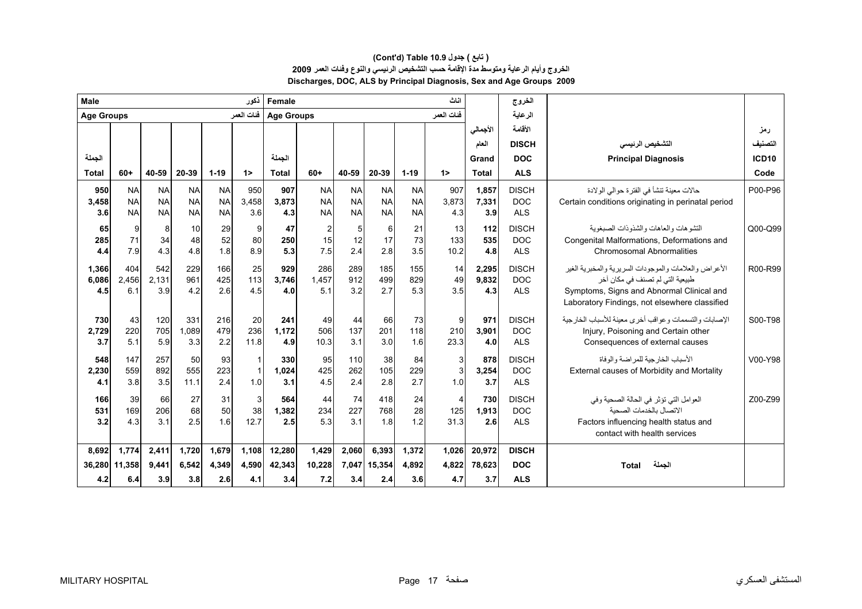| Male              |           |           |            |           | نكور         | Female            |                         |           |           |           | اناث                    |              | الخروج       |                                                                                            |              |
|-------------------|-----------|-----------|------------|-----------|--------------|-------------------|-------------------------|-----------|-----------|-----------|-------------------------|--------------|--------------|--------------------------------------------------------------------------------------------|--------------|
| <b>Age Groups</b> |           |           |            |           | فئات العمر   | <b>Age Groups</b> |                         |           |           |           | فئات العمر              |              | الرعاية      |                                                                                            |              |
|                   |           |           |            |           |              |                   |                         |           |           |           |                         | الأجمالي     | الأقامة      |                                                                                            | رمز          |
|                   |           |           |            |           |              |                   |                         |           |           |           |                         | العام        | <b>DISCH</b> | التشخيص الرئيسى                                                                            | التصنيف      |
| الجملة            |           |           |            |           |              | الجملة            |                         |           |           |           |                         | Grand        | <b>DOC</b>   | <b>Principal Diagnosis</b>                                                                 | <b>ICD10</b> |
| <b>Total</b>      | $60+$     | 40-59     | 20-39      | $1 - 19$  | $1\geq$      | <b>Total</b>      | $60+$                   | 40-59     | 20-39     | $1 - 19$  | 1                       | <b>Total</b> | <b>ALS</b>   |                                                                                            | Code         |
| 950               | <b>NA</b> | <b>NA</b> | <b>NA</b>  | <b>NA</b> | 950          | 907               | <b>NA</b>               | <b>NA</b> | <b>NA</b> | <b>NA</b> | 907                     | 1,857        | <b>DISCH</b> | حالات معينة تنشأ في الفترة حوالي الولادة                                                   | P00-P96      |
| 3,458             | <b>NA</b> | <b>NA</b> | <b>NA</b>  | <b>NA</b> | 3,458        | 3,873             | <b>NA</b>               | <b>NA</b> | <b>NA</b> | <b>NA</b> | 3,873                   | 7,331        | <b>DOC</b>   | Certain conditions originating in perinatal period                                         |              |
| 3.6               | <b>NA</b> | <b>NA</b> | <b>NAI</b> | <b>NA</b> | 3.6          | 4.3               | <b>NA</b>               | <b>NA</b> | <b>NA</b> | <b>NA</b> | 4.3                     | 3.9          | <b>ALS</b>   |                                                                                            |              |
| 65                | 9         | 8         | 10         | 29        | 9            | 47                | $\overline{\mathbf{c}}$ | 5         | 6         | 21        | 13                      | 112          | <b>DISCH</b> | التشو هات والعاهات والشذوذات الصبغوبة                                                      | Q00-Q99      |
| 285               | 71        | 34        | 48         | 52        | 80           | 250               | 15                      | 12        | 17        | 73        | 133                     | 535          | <b>DOC</b>   | Congenital Malformations, Deformations and                                                 |              |
| 4.4               | 7.9       | 4.3       | 4.8        | 1.8       | 8.9          | 5.3               | 7.5                     | 2.4       | 2.8       | 3.5       | 10.2                    | 4.8          | <b>ALS</b>   | <b>Chromosomal Abnormalities</b>                                                           |              |
| 1,366             | 404       | 542       | 229        | 166       | 25           | 929               | 286                     | 289       | 185       | 155       | 14                      | 2,295        | <b>DISCH</b> | الأعراض والعلامات والموجودات السريرية والمخبرية الغير                                      | R00-R99      |
| 6,086             | 2,456     | 2,131     | 961        | 425       | 113          | 3.746             | 1,457                   | 912       | 499       | 829       | 49                      | 9,832        | <b>DOC</b>   | طبيعية التي لم تصنف في مكان أخر                                                            |              |
| 4.5               | 6.1       | 3.9       | 4.2        | 2.6       | 4.5          | 4.0               | 5.1                     | 3.2       | 2.7       | 5.3       | 3.5                     | 4.3          | <b>ALS</b>   | Symptoms, Signs and Abnormal Clinical and<br>Laboratory Findings, not elsewhere classified |              |
| 730               | 43        | 120       | 331        | 216       | 20           | 241               | 49                      | 44        | 66        | 73        | 9                       | 971          | <b>DISCH</b> | الإصبابات والتسممات وعواقب أخرى معبنة للأسباب الخارجية                                     | S00-T98      |
| 2,729             | 220       | 705       | 1,089      | 479       | 236          | 1,172             | 506                     | 137       | 201       | 118       | 210                     | 3,901        | <b>DOC</b>   | Injury, Poisoning and Certain other                                                        |              |
| 3.7               | 5.1       | 5.9       | 3.3        | 2.2       | 11.8         | 4.9               | 10.3                    | 3.1       | 3.0       | 1.6       | 23.3                    | 4.0          | <b>ALS</b>   | Consequences of external causes                                                            |              |
| 548               | 147       | 257       | 50         | 93        | $\mathbf{1}$ | 330               | 95                      | 110       | 38        | 84        | 3                       | 878          | <b>DISCH</b> | الأسباب الخار جية للمر اضبة و الو فاة                                                      | V00-Y98      |
| 2,230             | 559       | 892       | 555        | 223       | $\mathbf{1}$ | 1,024             | 425                     | 262       | 105       | 229       | $\mathbf{3}$            | 3,254        | <b>DOC</b>   | External causes of Morbidity and Mortality                                                 |              |
| 4.1               | 3.8       | 3.5       | 11.1       | 2.4       | 1.0          | 3.1               | 4.5                     | 2.4       | 2.8       | 2.7       | 1.0                     | 3.7          | <b>ALS</b>   |                                                                                            |              |
| 166               | 39        | 66        | 27         | 31        | 3            | 564               | 44                      | 74        | 418       | 24        | $\overline{\mathbf{4}}$ | 730          | <b>DISCH</b> | العوامل التي تؤثر في الحالة الصحية وفي                                                     | Z00-Z99      |
| 531               | 169       | 206       | 68         | 50        | 38           | 1,382             | 234                     | 227       | 768       | 28        | 125                     | 1,913        | <b>DOC</b>   | الاتصال بالخدمات الصحبة                                                                    |              |
| 3.2               | 4.3       | 3.1       | 2.5        | 1.6       | 12.7         | 2.5               | 5.3                     | 3.1       | 1.8       | 1.2       | 31.3                    | 2.6          | <b>ALS</b>   | Factors influencing health status and<br>contact with health services                      |              |
| 8,692             | 1,774     | 2,411     | 1,720      | 1,679     | 1,108        | 12,280            | 1,429                   | 2,060     | 6,393     | 1,372     | 1,026                   | 20,972       | <b>DISCH</b> |                                                                                            |              |
| 36,280            | 11,358    | 9.441     | 6.542      | 4,349     | 4.590        | 42,343            | 10,228                  | 7,047     | 15,354    | 4,892     | 4,822                   | 78,623       | <b>DOC</b>   | الجملة<br><b>Total</b>                                                                     |              |
| 4.2               | 6.4       | 3.9       | 3.8        | 2.6       | 4.1          | 3.4               | 7.2                     | 3.4       | 2.4       | 3.6       | 4.7                     | 3.7          | <b>ALS</b>   |                                                                                            |              |

# **(Cont'd) Table 10.9 جدول ) تابع( الخروج وأيام الرعاية ومتوسط مدة الإقامة حسب التشخيص الرئيسي والنوع وفئات العمر <sup>2009</sup> Discharges, DOC, ALS by Principal Diagnosis, Sex and Age Groups 2009**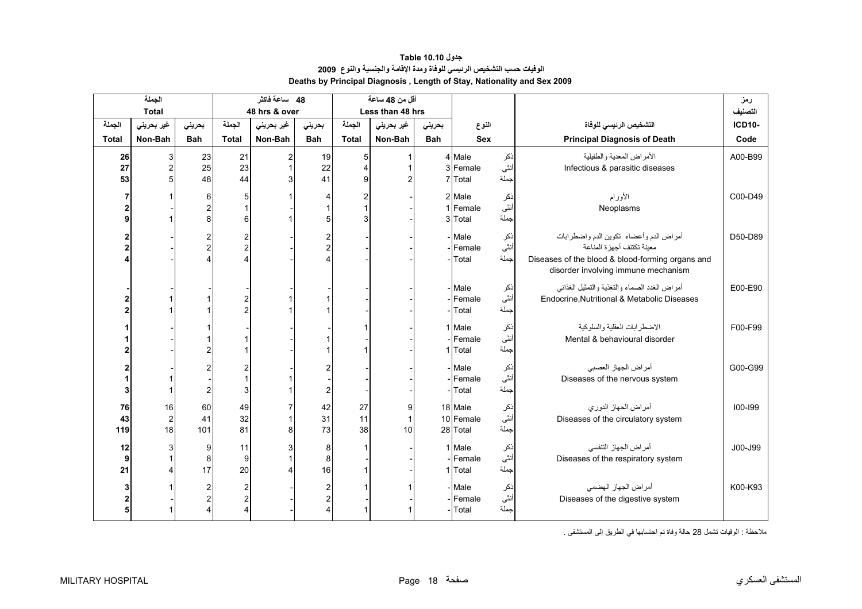<span id="page-16-0"></span>

|              | الجملة         |            |                         | 48 ساعة فاكثر |                         |                | أقل من 48 ساعة   |            |            |       |                                                  | رمز           |
|--------------|----------------|------------|-------------------------|---------------|-------------------------|----------------|------------------|------------|------------|-------|--------------------------------------------------|---------------|
|              | <b>Total</b>   |            |                         | 48 hrs & over |                         |                | Less than 48 hrs |            |            |       |                                                  | التصنيف       |
| الجملة       | غير بحريني     | بحريني     | الجملة                  | غير بحريني    | بحرينى                  | الجملة         | غير بحريني       | بحرينى     | النوع      |       | التشخيص الرئيسى للوفاة                           | <b>ICD10-</b> |
| <b>Total</b> | Non-Bah        | <b>Bah</b> | <b>Total</b>            | Non-Bah       | <b>Bah</b>              | <b>Total</b>   | Non-Bah          | <b>Bah</b> | <b>Sex</b> |       | <b>Principal Diagnosis of Death</b>              | Code          |
| 26           | 3              | 23         | 21                      | 2             | 19                      | 5              |                  |            | 4 Male     | نكر   | الأمراض المعدية والطفيلية                        | A00-B99       |
| 27           | $\overline{2}$ | 25         | 23                      |               | 22                      | $\Delta$       |                  |            | 3 Female   | أنثى  | Infectious & parasitic diseases                  |               |
| 53           | 5              | 48         | 44                      |               | 41                      | 9              | $\overline{c}$   |            | 7 Total    | جملة  |                                                  |               |
|              |                | 6          | 5                       |               | 4                       | $\overline{c}$ |                  |            | 2 Male     | نكر   | الأورام                                          | C00-D49       |
|              |                |            | 1                       |               |                         |                |                  |            | 1 Female   | أنثى  | Neoplasms                                        |               |
| a            |                |            | 6                       |               | 5                       | 3              |                  |            | 3 Total    | جملة  |                                                  |               |
|              |                |            | 2                       |               |                         |                |                  |            | - Male     | نكر   | أمراض الدم وأعضاء تكوين الدم واضطرابات           | D50-D89       |
|              |                |            | $\overline{2}$          |               | $\frac{2}{2}$           |                |                  |            | Female     | أنثى  | معينة تكتنف أجهز ة المناعة                       |               |
|              |                |            | 4                       |               | 4                       |                |                  |            | Total      | جملة  | Diseases of the blood & blood-forming organs and |               |
|              |                |            |                         |               |                         |                |                  |            |            |       | disorder involving immune mechanism              |               |
|              |                |            |                         |               |                         |                |                  |            | - Male     | نكر   | أمراض الغدد الصماء والتغذية والتمثيل الغذائبي    | E00-E90       |
|              |                |            | $\overline{c}$          |               |                         |                |                  |            | Female     | أننًى | Endocrine.Nutritional & Metabolic Diseases       |               |
|              |                |            | $\overline{c}$          |               |                         |                |                  |            | Total      | جملة  |                                                  |               |
|              |                |            |                         |               |                         |                |                  |            | 1 Male     | نكر   | الاضطرابات العقلية والسلوكية                     | F00-F99       |
|              |                |            |                         |               |                         |                |                  |            | Female     | أنثى  | Mental & behavioural disorder                    |               |
|              |                |            |                         |               |                         |                |                  |            | 1 Total    | جملة  |                                                  |               |
|              |                |            | 2                       |               |                         |                |                  |            | - Male     | نكر   | أمراض الجهاز العصبي                              | G00-G99       |
|              |                |            | 1                       |               |                         |                |                  |            | Female     | أنثى  | Diseases of the nervous system                   |               |
|              |                |            | 3                       |               | $\overline{2}$          |                |                  |            | Total      | جملة  |                                                  |               |
| 76           | 16             | 60         | 49                      |               | 42                      | 27             | 9                |            | 18 Male    | نكر   | أمراض الجهاز الدوري                              | 100-199       |
| 43           | $\overline{2}$ | 41         | 32                      |               | 31                      | 11             | $\overline{1}$   |            | 10 Female  | أنثى  | Diseases of the circulatory system               |               |
| 119          | 18             | 101        | 81                      |               | 73                      | 38             | 10               |            | 28 Total   | جملة  |                                                  |               |
| 12           | 3              | 9          | 11                      |               | 8                       | 1              |                  |            | 1 Male     | نكر   | أمراض الجهاز التنفسي                             | J00-J99       |
| 9            |                | 8          | 9                       |               | 8                       |                |                  |            | Female     | أنثى  | Diseases of the respiratory system               |               |
| 21           | 4              | 17         | 20                      |               | 16                      |                |                  |            | 1 Total    | جملة  |                                                  |               |
|              |                |            | $\overline{\mathbf{c}}$ |               | $\overline{\mathbf{c}}$ |                |                  |            | - Male     | نكر   | أمراض الجهاز الهضمى                              | K00-K93       |
|              |                |            | $\overline{2}$          |               | $\overline{c}$          |                |                  |            | Female     | أنثى  | Diseases of the digestive system                 |               |
|              |                |            | 4                       |               | $\overline{\mathbf{4}}$ |                |                  |            | Total      | جملة  |                                                  |               |

# **جدول 10.10 Table الوفيات حسب التشخيص الرئيسي للوفاة ومدة الإقامة والجنسية والنوع<sup>2009</sup> Deaths by Principal Diagnosis , Length of Stay, Nationality and Sex 2009**

ملاحظة : الوفيات تشمل 28 حالة وفاة تم احتسابها في الطريق إلى المستشفى .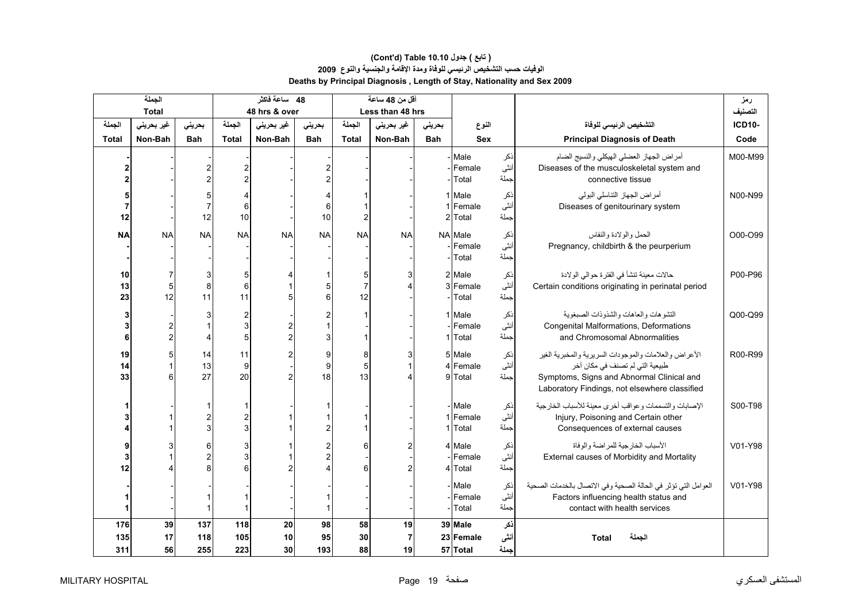# **الوفيات حسب التشخيص الرئيسي للوفاة ومدة الإقامة والجنسية والنوع<sup>2009</sup> Deaths by Principal Diagnosis , Length of Stay, Nationality and Sex 2009 (Cont'd) Table 10.10 جدول ) تابع(**

|                   | الجملة         |                           |                                           | 48 ساعة فاكثر                    |                                                             |                           | أقل من 48 ساعة             |            |                                        |                     |                                                                                                                                                                                        | رمز           |
|-------------------|----------------|---------------------------|-------------------------------------------|----------------------------------|-------------------------------------------------------------|---------------------------|----------------------------|------------|----------------------------------------|---------------------|----------------------------------------------------------------------------------------------------------------------------------------------------------------------------------------|---------------|
|                   | <b>Total</b>   |                           |                                           | 48 hrs & over                    |                                                             |                           | Less than 48 hrs           |            |                                        |                     |                                                                                                                                                                                        | التصنيف       |
| الجملة            | غير بحريني     | بحرينى                    | الجملة                                    | غیر بحرینی                       | بحرينى                                                      | الجملة                    | غیر بحرینی                 | بحرينى     | النوع                                  |                     | التشخيص الرئيسى للوفاة                                                                                                                                                                 | <b>ICD10-</b> |
| <b>Total</b>      | Non-Bah        | <b>Bah</b>                | <b>Total</b>                              | Non-Bah                          | <b>Bah</b>                                                  | <b>Total</b>              | Non-Bah                    | <b>Bah</b> | <b>Sex</b>                             |                     | <b>Principal Diagnosis of Death</b>                                                                                                                                                    | Code          |
|                   |                |                           | $\overline{\mathbf{c}}$<br>$\overline{2}$ |                                  | 2<br>$\overline{c}$                                         |                           |                            |            | - Male<br>- Female<br>- Total          | ذكر<br>أنثى<br>جملة | أمراض الجهاز العضلي الهيكلي والنسيج الضام<br>Diseases of the musculoskeletal system and<br>connective tissue                                                                           | M00-M99       |
| 7<br>12           |                | 5<br>$\overline{7}$<br>12 | 4<br>$\,6$<br>10                          |                                  | 4<br>6<br>10                                                | $\overline{2}$            |                            |            | 1 Male<br>1 Female<br>2 Total          | ذكر<br>أنثى<br>جملة | أمراض الجهاز التناسلي البولي<br>Diseases of genitourinary system                                                                                                                       | N00-N99       |
| <b>NA</b>         | <b>NA</b>      | <b>NA</b>                 | <b>NA</b>                                 | <b>NA</b>                        | <b>NA</b>                                                   | <b>NA</b>                 | <b>NA</b>                  |            | <b>NA</b> Male<br>- Female<br>-l Total | ذكر<br>أنثى<br>جملة | الحمل والولادة والنفاس<br>Pregnancy, childbirth & the peurperium                                                                                                                       | O00-O99       |
| 10<br>13<br>23    | 5<br>12        | 3<br>8<br>11              | 5<br>$6\phantom{1}$<br>11                 | 5                                | 1<br>5<br>6                                                 | 5<br>$\overline{7}$<br>12 |                            |            | 2 Male<br>3 Female<br>Total            | ذكر<br>أنثى<br>جملة | حالات معينة تنشأ في الفترة حوالي الولادة<br>Certain conditions originating in perinatal period                                                                                         | P00-P96       |
| 3<br>3<br>6       |                | Δ                         | $\overline{\mathbf{c}}$<br>3<br>5         | $\overline{c}$<br>$\overline{c}$ | $\overline{\mathbf{c}}$<br>$\overline{1}$<br>3              |                           |                            |            | 1 Male<br>-Female<br>1 Total           | ذكر<br>نٹی<br>جملة  | التشوهات والعاهات والشذوذات الصبغوية<br>Congenital Malformations, Deformations<br>and Chromosomal Abnormalities                                                                        | Q00-Q99       |
| 19<br>14<br>33    | 6              | 14<br>13<br>27            | 11<br>9<br>20                             | 2<br>$\overline{c}$              | 9<br>9<br>18                                                | 8<br>5<br>13              | 3                          |            | 5 Male<br>4 Female<br>9 Total          | ذكر<br>أنثى<br>جملة | الأعراض والعلامات والموجودات السريرية والمخبرية الغير<br>طبيعية التي لم تصنف في مكان آخر<br>Symptoms, Signs and Abnormal Clinical and<br>Laboratory Findings, not elsewhere classified | R00-R99       |
|                   |                |                           | 1<br>$\overline{c}$<br>3                  |                                  | $\mathbf{1}$<br>$\overline{\mathbf{c}}$                     |                           |                            |            | - Male<br>1 Female<br>1 Total          | نكر<br>أنثى<br>جملة | الإصابات والتسممات وعواقب أخرى معينة للأسباب الخارجية<br>Injury, Poisoning and Certain other<br>Consequences of external causes                                                        | S00-T98       |
| 3<br>12           |                | 6                         | 3<br>3<br>6                               |                                  | $\overline{\mathbf{c}}$<br>$\overline{c}$<br>$\overline{4}$ | 6                         | 2                          |            | 4 Male<br>-lFemale<br>4 Total          | ذكر<br>أنثى<br>جملة | الأسباب الخار جية للمر اضنة و الو فاة<br>External causes of Morbidity and Mortality                                                                                                    | V01-Y98       |
|                   |                |                           | $\mathbf{1}$                              |                                  | $\mathbf{1}$                                                |                           |                            |            | - Male<br>Female<br>- Total            | ذكر<br>أنثى<br>حملة | العوامل التي تؤثِّر في الحالة الصحية وفي الاتصال بالخدمات الصحية<br>Factors influencing health status and<br>contact with health services                                              | V01-Y98       |
| 176<br>135<br>311 | 39<br>17<br>56 | 137<br>118<br>255         | 118<br>105<br>223                         | 20<br>10<br>30                   | 98<br>95<br>193                                             | 58<br>30<br>88            | 19<br>$\overline{7}$<br>19 |            | 39 Male<br>23 Female<br>57 Total       | ذكر<br>أنشى<br>جملة | الجملة<br><b>Total</b>                                                                                                                                                                 |               |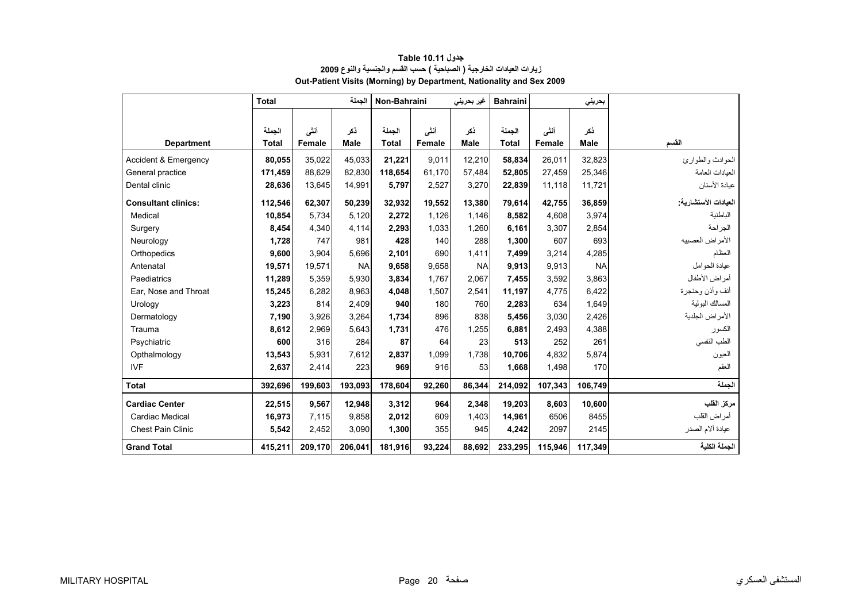<span id="page-18-0"></span>

|                            | <b>Total</b> |         | الحملة      | Non-Bahraini |        | غیر بحرینی  | <b>Bahraini</b> |         | بحريني      |                      |
|----------------------------|--------------|---------|-------------|--------------|--------|-------------|-----------------|---------|-------------|----------------------|
|                            |              |         |             |              |        |             |                 |         |             |                      |
|                            | الجملة       | أنشى    | ذكر         | الحملة       | أنشى   | ذكر         | الجملة          | أنشى    | ذكر         |                      |
| <b>Department</b>          | <b>Total</b> | Female  | <b>Male</b> | <b>Total</b> | Female | <b>Male</b> | <b>Total</b>    | Female  | <b>Male</b> | القسم                |
| Accident & Emergency       | 80,055       | 35,022  | 45,033      | 21,221       | 9,011  | 12,210      | 58,834          | 26,011  | 32,823      | الحوادث والطوارئ     |
| General practice           | 171,459      | 88,629  | 82,830      | 118,654      | 61.170 | 57,484      | 52,805          | 27,459  | 25,346      | العبادات العامة      |
| Dental clinic              | 28,636       | 13,645  | 14,991      | 5,797        | 2,527  | 3,270       | 22,839          | 11,118  | 11,721      | عيادة الأسنان        |
| <b>Consultant clinics:</b> | 112,546      | 62,307  | 50,239      | 32,932       | 19,552 | 13,380      | 79,614          | 42,755  | 36,859      | العيادات الأستشارية: |
| Medical                    | 10,854       | 5,734   | 5,120       | 2,272        | 1,126  | 1,146       | 8,582           | 4,608   | 3,974       | الباطنية             |
| Surgery                    | 8,454        | 4,340   | 4,114       | 2,293        | 1,033  | 1,260       | 6,161           | 3,307   | 2,854       | الجراحة              |
| Neurology                  | 1,728        | 747     | 981         | 428          | 140    | 288         | 1,300           | 607     | 693         | الأمراض العصبيه      |
| Orthopedics                | 9,600        | 3,904   | 5,696       | 2,101        | 690    | 1.411       | 7,499           | 3,214   | 4,285       | العظام               |
| Antenatal                  | 19,571       | 19,571  | <b>NA</b>   | 9,658        | 9,658  | <b>NA</b>   | 9,913           | 9,913   | <b>NA</b>   | عبادة الحو امل       |
| Paediatrics                | 11,289       | 5,359   | 5,930       | 3,834        | 1,767  | 2,067       | 7,455           | 3,592   | 3,863       | أمراض الأطفال        |
| Ear, Nose and Throat       | 15,245       | 6,282   | 8,963       | 4,048        | 1,507  | 2,541       | 11,197          | 4,775   | 6,422       | أنف وأذن وحنجرة      |
| Urology                    | 3,223        | 814     | 2,409       | 940          | 180    | 760         | 2,283           | 634     | 1,649       | المسالك البولية      |
| Dermatology                | 7,190        | 3,926   | 3,264       | 1,734        | 896    | 838         | 5,456           | 3,030   | 2,426       | الأمراض الجلدية      |
| Trauma                     | 8,612        | 2,969   | 5,643       | 1,731        | 476    | 1,255       | 6,881           | 2,493   | 4,388       | الكسور               |
| Psychiatric                | 600          | 316     | 284         | 87           | 64     | 23          | 513             | 252     | 261         | الطب النفسي          |
| Opthalmology               | 13,543       | 5,931   | 7,612       | 2,837        | 1,099  | 1,738       | 10,706          | 4,832   | 5,874       | العيون               |
| <b>IVF</b>                 | 2,637        | 2,414   | 223         | 969          | 916    | 53          | 1,668           | 1,498   | 170         | العقم                |
| <b>Total</b>               | 392,696      | 199,603 | 193,093     | 178,604      | 92,260 | 86,344      | 214,092         | 107,343 | 106,749     | الحملة               |
| <b>Cardiac Center</b>      | 22,515       | 9.567   | 12,948      | 3,312        | 964    | 2,348       | 19,203          | 8,603   | 10,600      | مركز القلب           |
| <b>Cardiac Medical</b>     | 16,973       | 7.115   | 9.858       | 2,012        | 609    | 1,403       | 14.961          | 6506    | 8455        | أمراض القلب          |
| Chest Pain Clinic          | 5,542        | 2,452   | 3,090       | 1,300        | 355    | 945         | 4,242           | 2097    | 2145        | عيادة ألام الصدر     |
| <b>Grand Total</b>         | 415,211      | 209,170 | 206,041     | 181,916      | 93,224 | 88,692      | 233,295         | 115,946 | 117,349     | الجملة الكلية        |

## **زيارات العيادات الخارجية ( الصباحية ) حسب القسم والجنسية والنوع<sup>2009</sup> Out-Patient Visits (Morning) by Department, Nationality and Sex 2009 جدول 10.11 Table**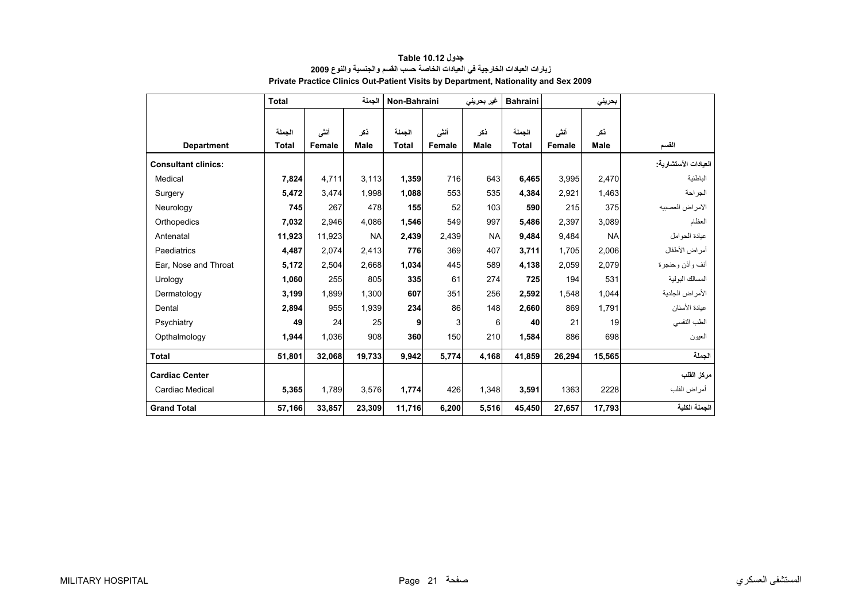<span id="page-19-0"></span>

|                            | <b>Total</b> |        | الحملة      | Non-Bahraini |        | غیر بحرین <i>ی</i> | <b>Bahraini</b> |        | بحريني      |                      |
|----------------------------|--------------|--------|-------------|--------------|--------|--------------------|-----------------|--------|-------------|----------------------|
|                            |              |        |             |              |        |                    |                 |        |             |                      |
|                            | الجملة       | أنشى   | ذکر         | الجملة       | أنشى   | ذكر                | الجملة          | أنشى   | نكر         |                      |
| <b>Department</b>          | <b>Total</b> | Female | <b>Male</b> | <b>Total</b> | Female | <b>Male</b>        | <b>Total</b>    | Female | <b>Male</b> | القسم                |
| <b>Consultant clinics:</b> |              |        |             |              |        |                    |                 |        |             | العيادات الأستشارية: |
| Medical                    | 7,824        | 4,711  | 3,113       | 1,359        | 716    | 643                | 6,465           | 3,995  | 2,470       | الباطنية             |
| Surgery                    | 5,472        | 3,474  | 1,998       | 1,088        | 553    | 535                | 4,384           | 2,921  | 1,463       | الجراحة              |
| Neurology                  | 745          | 267    | 478         | 155          | 52     | 103                | 590             | 215    | 375         | الامراض العصبيه      |
| Orthopedics                | 7,032        | 2,946  | 4.086       | 1,546        | 549    | 997                | 5,486           | 2,397  | 3,089       | العظام               |
| Antenatal                  | 11,923       | 11,923 | <b>NA</b>   | 2,439        | 2,439  | <b>NA</b>          | 9,484           | 9,484  | <b>NA</b>   | عيادة الحوامل        |
| Paediatrics                | 4,487        | 2,074  | 2,413       | 776          | 369    | 407                | 3,711           | 1,705  | 2,006       | أمراض الأطفال        |
| Ear, Nose and Throat       | 5,172        | 2,504  | 2,668       | 1,034        | 445    | 589                | 4,138           | 2,059  | 2,079       | أنف وأذن وحنجرة      |
| Urology                    | 1,060        | 255    | 805         | 335          | 61     | 274                | 725             | 194    | 531         | المسالك البولية      |
| Dermatology                | 3,199        | 1.899  | 1.300       | 607          | 351    | 256                | 2.592           | 1.548  | 1.044       | الأمراض الجلدية      |
| Dental                     | 2,894        | 955    | 1,939       | 234          | 86     | 148                | 2,660           | 869    | 1,791       | عيادة الأسنان        |
| Psychiatry                 | 49           | 24     | 25          | 9            | 3      | 6                  | 40              | 21     | 19          | الطب النفسي          |
| Opthalmology               | 1,944        | 1.036  | 908         | 360          | 150    | 210                | 1,584           | 886    | 698         | العيون               |
| <b>Total</b>               | 51,801       | 32,068 | 19,733      | 9,942        | 5,774  | 4,168              | 41,859          | 26,294 | 15,565      | الجملة               |
| <b>Cardiac Center</b>      |              |        |             |              |        |                    |                 |        |             | مركز القلب           |
| Cardiac Medical            | 5,365        | 1,789  | 3,576       | 1,774        | 426    | 1,348              | 3,591           | 1363   | 2228        | أمراض القلب          |
| <b>Grand Total</b>         | 57,166       | 33,857 | 23,309      | 11,716       | 6,200  | 5,516              | 45,450          | 27,657 | 17,793      | الجملة الكلية        |

## **زيارات العيادات الخارجية في العيادات الخاصة حسب القسم والجنسية والنوع<sup>2009</sup> Private Practice Clinics Out-Patient Visits by Department, Nationality and Sex 2009 جدول 10.12 Table**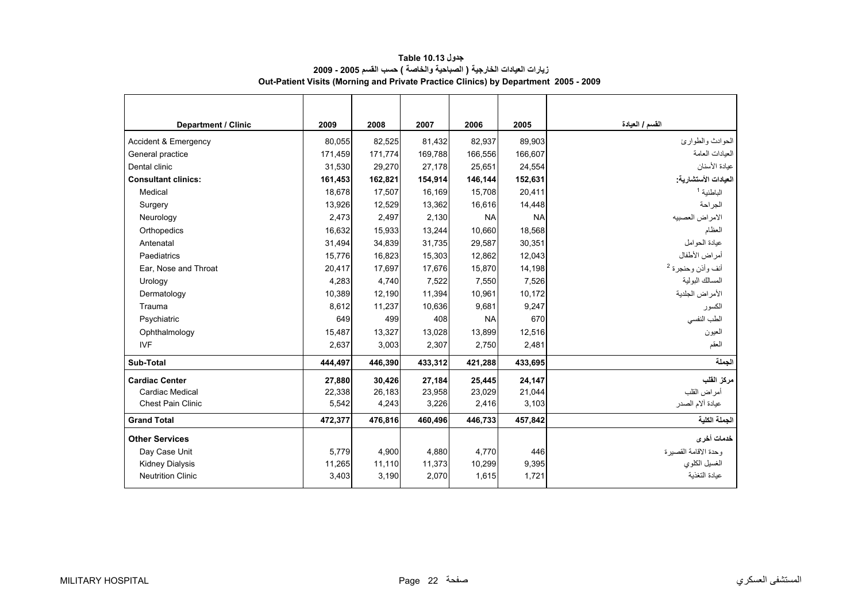<span id="page-20-0"></span>

| <b>Department / Clinic</b>      | 2009    | 2008    | 2007    | 2006      | 2005      | القسم / العيادة              |
|---------------------------------|---------|---------|---------|-----------|-----------|------------------------------|
| <b>Accident &amp; Emergency</b> | 80.055  | 82,525  | 81,432  | 82,937    | 89,903    | الحو ادث و الطو ار ئ         |
| General practice                | 171,459 | 171,774 | 169,788 | 166,556   | 166,607   | العبادات العامة              |
| Dental clinic                   | 31,530  | 29,270  | 27,178  | 25,651    | 24,554    | عيادة الأسنان                |
| <b>Consultant clinics:</b>      | 161,453 | 162,821 | 154,914 | 146,144   | 152,631   | العيادات الأستشارية:         |
| Medical                         | 18.678  | 17,507  | 16,169  | 15,708    | 20,411    | الباطنية <sup>1</sup>        |
| Surgery                         | 13,926  | 12,529  | 13,362  | 16,616    | 14,448    | الجراحة                      |
| Neurology                       | 2,473   | 2,497   | 2,130   | <b>NA</b> | <b>NA</b> | الامراض العصبيه              |
| Orthopedics                     | 16,632  | 15,933  | 13,244  | 10,660    | 18,568    | العظام                       |
| Antenatal                       | 31,494  | 34,839  | 31,735  | 29,587    | 30,351    | عيادة الحوامل                |
| Paediatrics                     | 15,776  | 16,823  | 15,303  | 12,862    | 12,043    | أمراض الأطفال                |
| Ear. Nose and Throat            | 20,417  | 17,697  | 17,676  | 15,870    | 14,198    | أنف وأذن وحنجرة <sup>2</sup> |
| Urology                         | 4,283   | 4,740   | 7,522   | 7,550     | 7,526     | المسالك البولية              |
| Dermatology                     | 10,389  | 12,190  | 11,394  | 10,961    | 10,172    | الأمراض الجلدية              |
| Trauma                          | 8.612   | 11.237  | 10.636  | 9.681     | 9.247     | الكسو ر                      |
| Psychiatric                     | 649     | 499     | 408     | <b>NA</b> | 670       | الطب النفسي                  |
| Ophthalmology                   | 15,487  | 13,327  | 13,028  | 13,899    | 12,516    | العيون                       |
| <b>IVF</b>                      | 2,637   | 3,003   | 2,307   | 2,750     | 2,481     | العقم                        |
| Sub-Total                       | 444,497 | 446,390 | 433,312 | 421,288   | 433,695   | الحملة                       |
| <b>Cardiac Center</b>           | 27,880  | 30,426  | 27,184  | 25,445    | 24,147    | مركز القلب                   |
| Cardiac Medical                 | 22,338  | 26,183  | 23,958  | 23,029    | 21,044    | أمر اض القلب                 |
| <b>Chest Pain Clinic</b>        | 5,542   | 4,243   | 3,226   | 2,416     | 3,103     | عيادة ألام الصدر             |
| <b>Grand Total</b>              | 472,377 | 476,816 | 460,496 | 446,733   | 457,842   | الجملة الكلية                |
| <b>Other Services</b>           |         |         |         |           |           | خدمات أخرى                   |
| Day Case Unit                   | 5,779   | 4,900   | 4,880   | 4,770     | 446       | وحدة الاقامة القصيرة         |
| <b>Kidney Dialysis</b>          | 11,265  | 11,110  | 11,373  | 10,299    | 9,395     | الغسيل الكلوي                |
| <b>Neutrition Clinic</b>        | 3,403   | 3,190   | 2,070   | 1,615     | 1,721     | عبادة التغذبة                |

**جدول 10.13 Table زيارات العيادات الخارجية ( الصباحية والخاصة ) حسب القسم 2005 - 2009 Out-Patient Visits (Morning and Private Practice Clinics) by Department 2005 - 2009**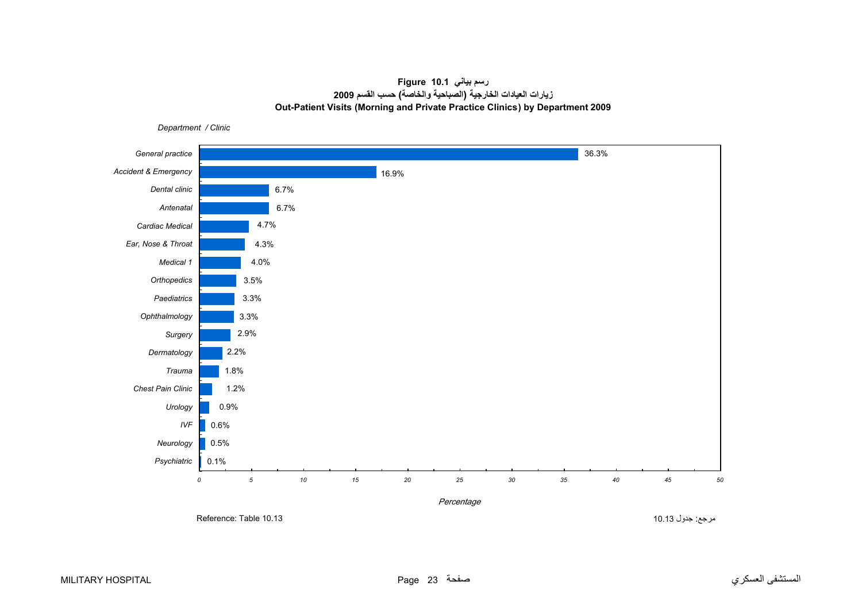# **رسم بياني 10.1 Figure زيارات العيادات الخارجية (الصباحية والخاصة) حسب القسم<sup>2009</sup> Out-Patient Visits (Morning and Private Practice Clinics) by Department 2009**

<span id="page-21-0"></span>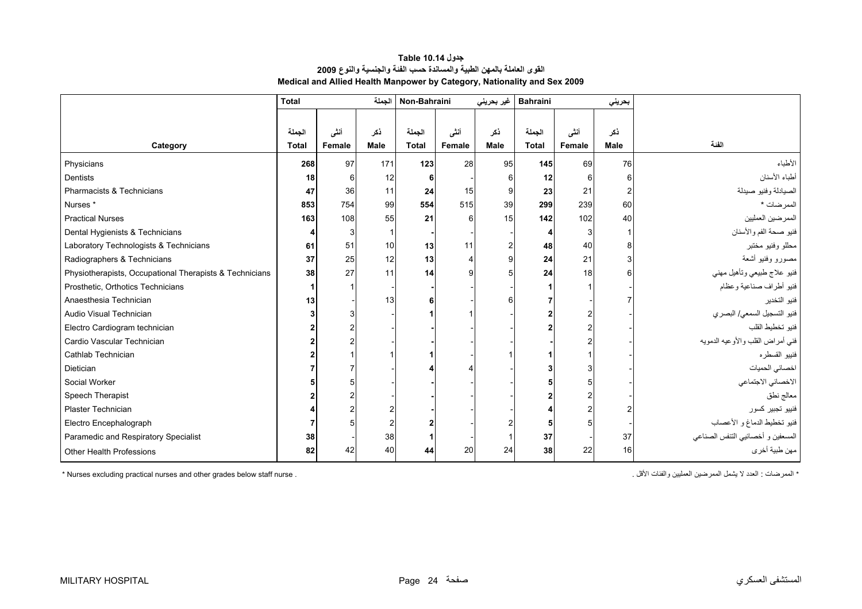<span id="page-22-0"></span>

|                                                         | <b>Total</b> |                 | الجملة      | Non-Bahraini |        | غیر بحرین <i>ی</i> | <b>Bahraini</b> |        | بحريني |                                   |
|---------------------------------------------------------|--------------|-----------------|-------------|--------------|--------|--------------------|-----------------|--------|--------|-----------------------------------|
|                                                         |              |                 |             |              |        |                    |                 |        |        |                                   |
|                                                         | الجملة       | أنشى            | ذکر         | الجملة       | أننى   | ذكر                | الجملة          | أننى   | ذکر    |                                   |
| Category                                                | <b>Total</b> | Female          | <b>Male</b> | <b>Total</b> | Female | <b>Male</b>        | <b>Total</b>    | Female | Male   | الفنة                             |
| Physicians                                              | 268          | 97              | 171         | 123          | 28     | 95                 | 145             | 69     | 76     | الأطباء                           |
| <b>Dentists</b>                                         | 18           |                 | 12          |              |        |                    | 12              |        |        | أطباء الأسنان                     |
| Pharmacists & Technicians                               | 47           | 36 <sup>1</sup> | 11          | 24           | 15     |                    | 23              | 21     |        | الصيادلة وفنيو صيدلة              |
| Nurses <sup>*</sup>                                     | 853          | 754             | 99          | 554          | 515    | 39                 | 299             | 239    | 60     | الممرضات *                        |
| <b>Practical Nurses</b>                                 | 163          | 108             | 55          | 21           | 6      | 15                 | 142             | 102    | 40     | الممرضين العمليين                 |
| Dental Hygienists & Technicians                         |              |                 |             |              |        |                    |                 |        |        | فنيو صحة الفم والأسنان            |
| Laboratory Technologists & Technicians                  | 61           | 51              | 10          | 13           | 11     |                    | 48              | 40     |        | محللو وفنيو مختبر                 |
| Radiographers & Technicians                             | 37           | 25              | 12          | 13           |        |                    | 24              | 21     |        | مصورو وفنيو أشعة                  |
| Physiotherapists, Occupational Therapists & Technicians | 38           | 27              | 11          | 14           |        |                    | 24              | 18     |        | فنيو علاج طبيعي وتأهيل مهنى       |
| Prosthetic, Orthotics Technicians                       |              |                 |             |              |        |                    |                 |        |        | فننيو أطراف صناعية وعظام          |
| Anaesthesia Technician                                  | 13           |                 | 13          |              |        |                    |                 |        |        | فنيو التخدير                      |
| Audio Visual Technician                                 |              |                 |             |              |        |                    |                 |        |        | فنيو التسجيل السمعي/ البصري       |
| Electro Cardiogram technician                           |              |                 |             |              |        |                    |                 |        |        | فنيو تخطيط القلب                  |
| Cardio Vascular Technician                              |              |                 |             |              |        |                    |                 |        |        | فني أمراض القلب والأوعيه الدمويه  |
| Cathlab Technician                                      |              |                 |             |              |        |                    |                 |        |        | فننييو القسطره                    |
| Dietician                                               |              |                 |             |              |        |                    |                 |        |        | اخصائي الحميات                    |
| Social Worker                                           |              |                 |             |              |        |                    |                 |        |        | الاخصائي الاجتماعي                |
| Speech Therapist                                        |              |                 |             |              |        |                    |                 |        |        | معالج نطق                         |
| Plaster Technician                                      |              |                 |             |              |        |                    |                 |        |        | فنييو تجبير كسور                  |
| Electro Encephalograph                                  |              |                 |             |              |        |                    |                 |        |        | فنيو تخطيط الدماغ و الأعصاب       |
| Paramedic and Respiratory Specialist                    | 38           |                 | 38          |              |        |                    | 37              |        | 37     | المسعفين و أخصائيي التنفس الصناعي |
| Other Health Professions                                | 82           | 42              | 40          | 44           | 20     | 24                 | 38              | 22     | 16     | مهن طبية أخر ي                    |

**جدول 10.14 Table القوى العاملة بالمهن الطبية والمساندة حسب الفئة والجنسية والنوع <sup>2009</sup> Medical and Allied Health Manpower by Category, Nationality and Sex 2009**

\* Nurses excluding practical nurses and other grades below staff nurse . . الأقل والفئات العمليين الممرضين يشمل لا العدد : الممرضات\*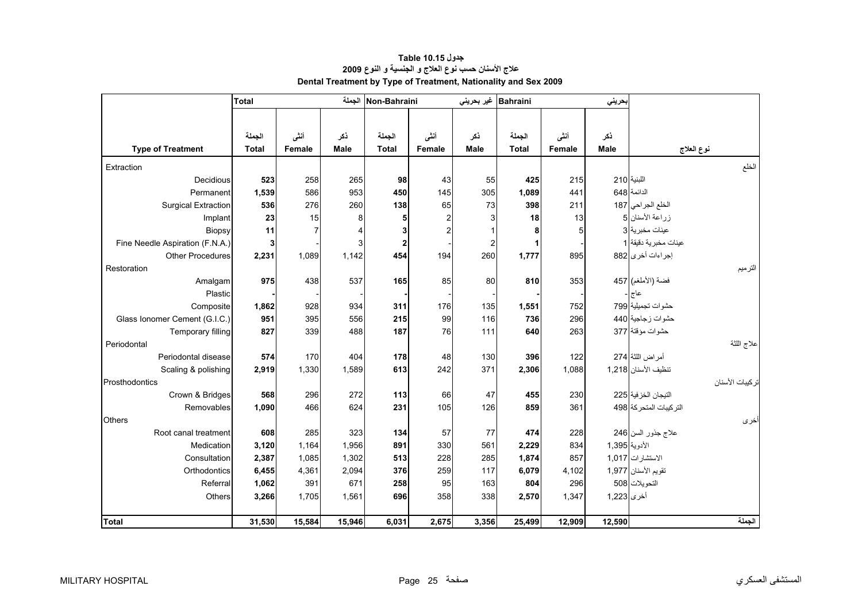|                                 | <b>Total</b>           |                |                    | Non-Bahraini الجملة |                | غير بحريني         | <b>Bahraini</b>        |        | بحريني             |                                   |                  |
|---------------------------------|------------------------|----------------|--------------------|---------------------|----------------|--------------------|------------------------|--------|--------------------|-----------------------------------|------------------|
|                                 |                        |                |                    |                     |                |                    |                        |        |                    |                                   |                  |
|                                 |                        |                |                    |                     |                |                    |                        |        |                    |                                   |                  |
|                                 | الجملة<br><b>Total</b> | أننى           | ذكر<br><b>Male</b> | الجملة              | أنشى           | ذكر<br><b>Male</b> | الجملة<br><b>Total</b> | أنشى   | ذكر<br><b>Male</b> |                                   |                  |
| <b>Type of Treatment</b>        |                        | Female         |                    | Total               | Female         |                    |                        | Female |                    |                                   | نوع العلاج       |
| Extraction                      |                        |                |                    |                     |                |                    |                        |        |                    |                                   | الخلع            |
| Decidious                       | 523                    | 258            | 265                | 98                  | 43             | 55                 | 425                    | 215    |                    | اللبنية 210                       |                  |
| Permanent                       | 1,539                  | 586            | 953                | 450                 | 145            | 305                | 1,089                  | 441    |                    | الدائمة 648                       |                  |
| <b>Surgical Extraction</b>      | 536                    | 276            | 260                | 138                 | 65             | 73                 | 398                    | 211    |                    | الخلع الجراحي 187                 |                  |
| Implant                         | 23                     | 15             | 8                  | 5                   | 2              |                    | 18                     | 13     |                    | زراعة الأسنان 5                   |                  |
| Biopsy                          | 11                     | $\overline{7}$ |                    | 3                   | $\overline{a}$ |                    | 8                      | 5      |                    | عينات مخبرية <mark>3</mark> 3     |                  |
| Fine Needle Aspiration (F.N.A.) | 3                      |                | 3                  | $\boldsymbol{2}$    |                | $\overline{c}$     |                        |        |                    | عينات مخبرية دقيقة <mark>1</mark> |                  |
| <b>Other Procedures</b>         | 2,231                  | 1,089          | 1,142              | 454                 | 194            | 260                | 1,777                  | 895    |                    | إجراءات أخرى 882                  |                  |
| Restoration                     |                        |                |                    |                     |                |                    |                        |        |                    |                                   | الترميم          |
| Amalgam                         | 975                    | 438            | 537                | 165                 | 85             | 80                 | 810                    | 353    |                    | فضة (الأملغم) 457                 |                  |
| Plastic                         |                        |                |                    |                     |                |                    |                        |        |                    | عاج                               |                  |
| Composite                       | 1,862                  | 928            | 934                | 311                 | 176            | 135                | 1,551                  | 752    |                    | حشوات تجميلية 799                 |                  |
| Glass Ionomer Cement (G.I.C.)   | 951                    | 395            | 556                | 215                 | 99             | 116                | 736                    | 296    |                    | حشوات زجاجية 440                  |                  |
| Temporary filling               | 827                    | 339            | 488                | 187                 | 76             | 111                | 640                    | 263    |                    | حشوات مؤقتة 377                   |                  |
| Periodontal                     |                        |                |                    |                     |                |                    |                        |        |                    |                                   | اعلاج اللثة      |
| Periodontal disease             | 574                    | 170            | 404                | 178                 | 48             | 130                | 396                    | 122    |                    | أمر اض اللثة 274                  |                  |
| Scaling & polishing             | 2,919                  | 1,330          | 1,589              | 613                 | 242            | 371                | 2,306                  | 1,088  |                    | تنظيف الأسنان 1,218               |                  |
| Prosthodontics                  |                        |                |                    |                     |                |                    |                        |        |                    |                                   | تر كيبات الأسنان |
| Crown & Bridges                 | 568                    | 296            | 272                | 113                 | 66             | 47                 | 455                    | 230    |                    | التيجان الخز فية 225              |                  |
| Removables                      | 1,090                  | 466            | 624                | 231                 | 105            | 126                | 859                    | 361    |                    | التركيبات المتحركة 498            |                  |
| <b>Others</b>                   |                        |                |                    |                     |                |                    |                        |        |                    |                                   | أخرى             |
| Root canal treatment            | 608                    | 285            | 323                | 134                 | 57             | 77                 | 474                    | 228    |                    | علاج جذور السن 246                |                  |
| Medication                      | 3,120                  | 1,164          | 1,956              | 891                 | 330            | 561                | 2,229                  | 834    | الأدوية 395,1      |                                   |                  |
| Consultation                    | 2,387                  | 1,085          | 1,302              | 513                 | 228            | 285                | 1,874                  | 857    |                    | الاستشارات 1,017                  |                  |
| Orthodontics                    | 6,455                  | 4,361          | 2,094              | 376                 | 259            | 117                | 6,079                  | 4,102  |                    | تقويم الأسنان 1,977               |                  |
| Referral                        | 1,062                  | 391            | 671                | 258                 | 95             | 163                | 804                    | 296    |                    | التحويلات 508                     |                  |
| Others                          | 3,266                  | 1,705          | 1,561              | 696                 | 358            | 338                | 2,570                  | 1,347  | أخرى 1,223         |                                   |                  |
|                                 |                        |                |                    |                     |                |                    |                        |        |                    |                                   |                  |
| <b>Total</b>                    | 31,530                 | 15,584         | 15,946             | 6,031               | 2,675          | 3,356              | 25,499                 | 12,909 | 12,590             |                                   | الجملة           |

# **جدول 10.15 Table علاج الأسنان حسب نوع العلاج <sup>و</sup> الجنسية <sup>و</sup> النوع <sup>2009</sup> Dental Treatment by Type of Treatment, Nationality and Sex 2009**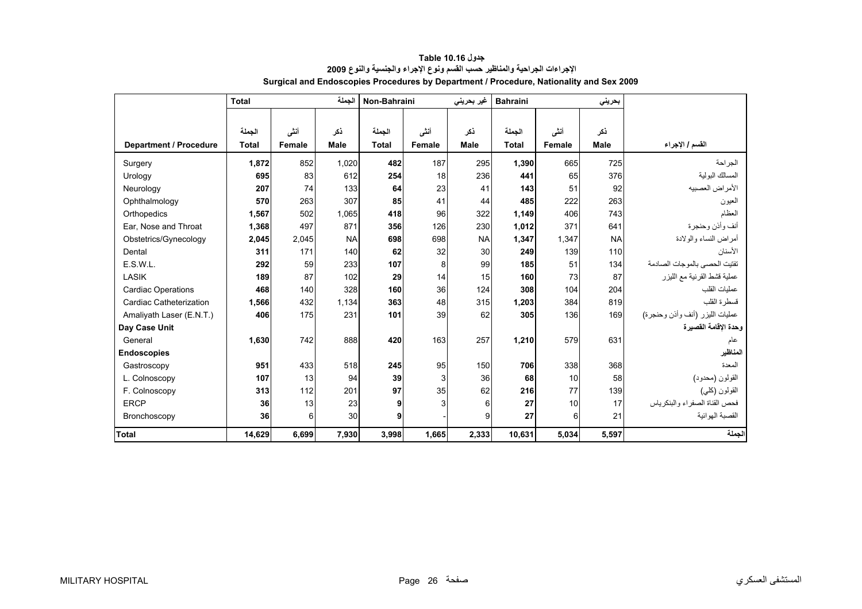<span id="page-24-0"></span>

|                               | الحملة<br><b>Total</b> |        |             | Non-Bahraini |        | غیر بحرینی  | <b>Bahraini</b> |        | بحرينى      |                                 |
|-------------------------------|------------------------|--------|-------------|--------------|--------|-------------|-----------------|--------|-------------|---------------------------------|
|                               |                        |        |             |              |        |             |                 |        |             |                                 |
|                               | الجملة                 | أنشى   | نكر         | الجملة       | أننى   | ذكر         | الجملة          | أنشى   | ذكر         |                                 |
| <b>Department / Procedure</b> | <b>Total</b>           | Female | <b>Male</b> | <b>Total</b> | Female | <b>Male</b> | <b>Total</b>    | Female | <b>Male</b> | القسم / الإجراء                 |
| Surgery                       | 1,872                  | 852    | 1,020       | 482          | 187    | 295         | 1,390           | 665    | 725         | الجر احة                        |
| Urology                       | 695                    | 83     | 612         | 254          | 18     | 236         | 441             | 65     | 376         | المسالك البولية                 |
| Neurology                     | 207                    | 74     | 133         | 64           | 23     | 41          | 143             | 51     | 92          | الأمراض العصبيه                 |
| Ophthalmology                 | 570                    | 263    | 307         | 85           | 41     | 44          | 485             | 222    | 263         | العيون                          |
| Orthopedics                   | 1,567                  | 502    | 1,065       | 418          | 96     | 322         | 1,149           | 406    | 743         | العظام                          |
| Ear, Nose and Throat          | 1,368                  | 497    | 871         | 356          | 126    | 230         | 1,012           | 371    | 641         | أنف وأذن وحنجرة                 |
| Obstetrics/Gynecology         | 2,045                  | 2,045  | <b>NA</b>   | 698          | 698    | <b>NA</b>   | 1,347           | 1.347  | <b>NA</b>   | أمر اض النساء والو لادة         |
| Dental                        | 311                    | 171    | 140         | 62           | 32     | 30          | 249             | 139    | 110         | الأسنان                         |
| E.S.W.L.                      | 292                    | 59     | 233         | 107          | 8      | 99          | 185             | 51     | 134         | تفتيت الحصبي بالموجات الصادمة   |
| LASIK                         | 189                    | 87     | 102         | 29           | 14     | 15          | 160             | 73     | 87          | عملية قشط القرنية مع الليزر     |
| <b>Cardiac Operations</b>     | 468                    | 140    | 328         | 160          | 36     | 124         | 308             | 104    | 204         | عمليات القلب                    |
| Cardiac Catheterization       | 1,566                  | 432    | 1,134       | 363          | 48     | 315         | 1,203           | 384    | 819         | فسطرة القلب                     |
| Amaliyath Laser (E.N.T.)      | 406                    | 175    | 231         | 101          | 39     | 62          | 305             | 136    | 169         | عمليات الليزر (أنف وأذن وحنجرة) |
| Day Case Unit                 |                        |        |             |              |        |             |                 |        |             | وحدة الإقامة القصيرة            |
| General                       | 1,630                  | 742    | 888         | 420          | 163    | 257         | 1,210           | 579    | 631         | عام                             |
| <b>Endoscopies</b>            |                        |        |             |              |        |             |                 |        |             | المناظير                        |
| Gastroscopy                   | 951                    | 433    | 518         | 245          | 95     | 150         | 706             | 338    | 368         | المعدة                          |
| L. Colnoscopy                 | 107                    | 13     | 94          | 39           | 3      | 36          | 68              | 10     | 58          | القولون (محدود)                 |
| F. Colnoscopy                 | 313                    | 112    | 201         | 97           | 35     | 62          | 216             | 77     | 139         | القولون (كلي)                   |
| <b>ERCP</b>                   | 36                     | 13     | 23          | 9            | 3      | 6           | 27              | 10     | 17          | فحص القناة الصفر اء والبنكر ياس |
| Bronchoscopy                  | 36                     | 6      | 30          | 9            |        | 9           | 27              | 6      | 21          | القصبة الهوائية                 |
| <b>Total</b>                  | 14,629                 | 6,699  | 7,930       | 3,998        | 1,665  | 2,333       | 10,631          | 5,034  | 5,597       | الجملة                          |

#### **جدول 10.16 Table الإجراءات الجراحية والمناظير حسب القسم ونوع الإجراء والجنسية والنوع <sup>2009</sup> Surgical and Endoscopies Procedures by Department / Procedure, Nationality and Sex 2009**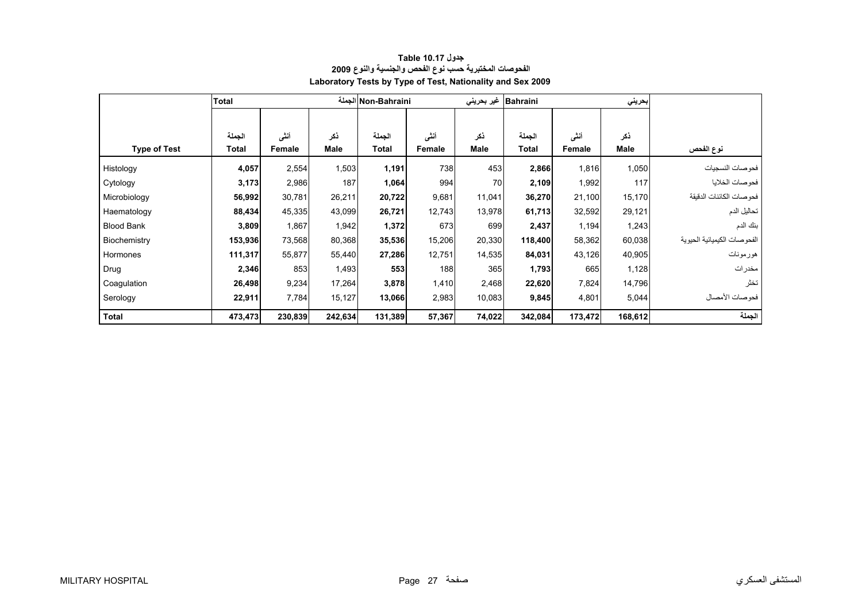<span id="page-25-0"></span>

|                     | <b>Total</b> |         |             | Non-Bahraini الجملة |        | غیر بحرین <i>ی</i> | <b>Bahraini</b> |         |             |                              |
|---------------------|--------------|---------|-------------|---------------------|--------|--------------------|-----------------|---------|-------------|------------------------------|
|                     |              |         |             |                     |        |                    |                 |         |             |                              |
|                     | الجملة       | أننى    | ذكر         | الجملة              | أنشى   | ذكر                | الجملة          | أنشى    | ذكر         |                              |
| <b>Type of Test</b> | Total        | Female  | <b>Male</b> | Total               | Female | <b>Male</b>        | Total           | Female  | <b>Male</b> | نوع الفحص                    |
| Histology           | 4,057        | 2,554   | 1,503       | 1,191               | 738    | 453                | 2,866           | 1,816   | 1,050       | فحوصات النسجيات              |
| Cytology            | 3,173        | 2,986   | 187         | 1,064               | 994    | 70                 | 2,109           | 1,992   | 117         | فحو صات الخلايا              |
| Microbiology        | 56,992       | 30,781  | 26,211      | 20,722              | 9,681  | 11,041             | 36,270          | 21,100  | 15,170      | فحو صات الكائنات الدقيقة     |
| Haematology         | 88,434       | 45,335  | 43,099      | 26,721              | 12,743 | 13,978             | 61,713          | 32,592  | 29,121      | تحاليل الدم                  |
| <b>Blood Bank</b>   | 3,809        | 1,867   | 1,942       | 1,372               | 673    | 699                | 2,437           | 1,194   | 1,243       | بنك الدم                     |
| Biochemistry        | 153,936      | 73,568  | 80,368      | 35,536              | 15,206 | 20,330             | 118,400         | 58,362  | 60,038      | الفحو صات الكيميائية الحيوية |
| Hormones            | 111,317      | 55,877  | 55,440      | 27,286              | 12,751 | 14,535             | 84,031          | 43,126  | 40,905      | هورمونات                     |
| Drug                | 2,346        | 853     | 1,493       | 553                 | 188    | 365                | 1,793           | 665     | 1,128       | مخدرات                       |
| Coagulation         | 26,498       | 9,234   | 17,264      | 3,878               | 1,410  | 2,468              | 22,620          | 7,824   | 14,796      | تخثر                         |
| Serology            | 22,911       | 7,784   | 15,127      | 13,066              | 2,983  | 10,083             | 9,845           | 4,801   | 5,044       | فحو صبات الأمصيال            |
| <b>Total</b>        | 473,473      | 230,839 | 242,634     | 131,389             | 57,367 | 74,022             | 342,084         | 173,472 | 168,612     | الجملة                       |

## **جدول 10.17 Table الفحوصات المختبرية حسب نوع الفحص والجنسية والنوع <sup>2009</sup> Laboratory Tests by Type of Test, Nationality and Sex 2009**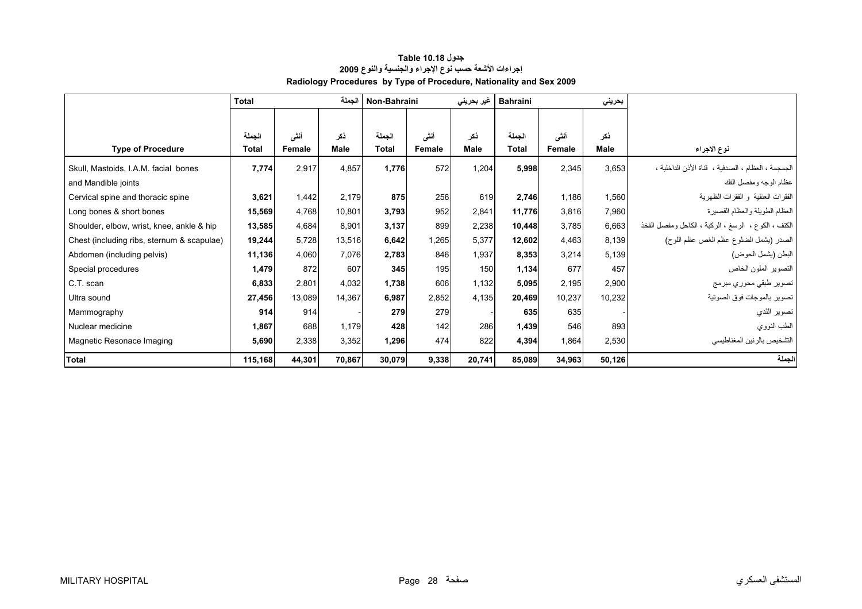<span id="page-26-0"></span>

|                                            | الحملة<br><b>Total</b> |        |             | Non-Bahraini |        | غیر بحرینی | <b>Bahraini</b><br>بحريني |        |        |                                                     |
|--------------------------------------------|------------------------|--------|-------------|--------------|--------|------------|---------------------------|--------|--------|-----------------------------------------------------|
|                                            |                        |        |             |              |        |            |                           |        |        |                                                     |
|                                            | الجملة                 | أنشى   | ذكر         | الجملة       | أنشى   | نكر        | الجملة                    | أنشى   | ذكر    |                                                     |
| <b>Type of Procedure</b>                   | Total                  | Female | <b>Male</b> | <b>Total</b> | Female | Male       | <b>Total</b>              | Female | Male   | نوع الاجراء                                         |
| Skull, Mastoids, I.A.M. facial bones       | 7,774                  | 2,917  | 4,857       | 1,776        | 572    | 1,204      | 5,998                     | 2,345  | 3,653  | الجمجمة ، العظام ، الصدفية ، قناة الأذن الداخلية ،  |
| and Mandible joints                        |                        |        |             |              |        |            |                           |        |        | عظام الوجه ومفصل الفك                               |
| Cervical spine and thoracic spine          | 3,621                  | 1,442  | 2,179       | 875          | 256    | 619        | 2,746                     | 1,186  | 1,560  | الفقرات العنقية و الفقرات الظهرية                   |
| Long bones & short bones                   | 15,569                 | 4,768  | 10,801      | 3,793        | 952    | 2,841      | 11,776                    | 3,816  | 7,960  | العظام الطويلة والعظام القصيرة                      |
| Shoulder, elbow, wrist, knee, ankle & hip  | 13,585                 | 4,684  | 8,901       | 3,137        | 899    | 2,238      | 10,448                    | 3,785  | 6,663  | الكتف ، الكوع ، الرسغ ، الركبة ، الكاحل ومفصل الفخذ |
| Chest (including ribs, sternum & scapulae) | 19,244                 | 5,728  | 13,516      | 6,642        | 1,265  | 5,377      | 12,602                    | 4,463  | 8,139  | الصدر (يشمل الضلوع عظم الغص عظم اللوح)              |
| Abdomen (including pelvis)                 | 11,136                 | 4,060  | 7,076       | 2,783        | 846    | 1,937      | 8,353                     | 3,214  | 5,139  | البطن (يشمل الحوض)                                  |
| Special procedures                         | 1,479                  | 872    | 607         | 345          | 195    | 150        | 1,134                     | 677    | 457    | التصوير الملون الخاص                                |
| C.T. scan                                  | 6,833                  | 2,801  | 4,032       | 1,738        | 606    | 1,132      | 5,095                     | 2,195  | 2,900  | تصوير طبقي محوري مبرمج                              |
| Ultra sound                                | 27,456                 | 13,089 | 14,367      | 6,987        | 2,852  | 4,135      | 20,469                    | 10,237 | 10,232 | تصوير بالموجات فوق الصوتية                          |
| Mammography                                | 914                    | 914    |             | 279          | 279    |            | 635                       | 635    |        | تصوير الثدي                                         |
| Nuclear medicine                           | 1,867                  | 688    | 1,179       | 428          | 142    | 286        | 1,439                     | 546    | 893    | الطب النووي                                         |
| Magnetic Resonace Imaging                  | 5,690                  | 2,338  | 3,352       | 1,296        | 474    | 822        | 4,394                     | 1,864  | 2,530  | التشخيص بالرنين المغناطيسي                          |
| <b>Total</b>                               | 115,168                | 44,301 | 70,867      | 30,079       | 9,338  | 20,741     | 85,089                    | 34,963 | 50,126 | لجملة                                               |

## **جدول 10.18 Table Radiology Procedures by Type of Procedure, Nationality and Sex 2009 إجراءات الأشعة حسب نوع الإجراء والجنسية والنوع <sup>2009</sup>**